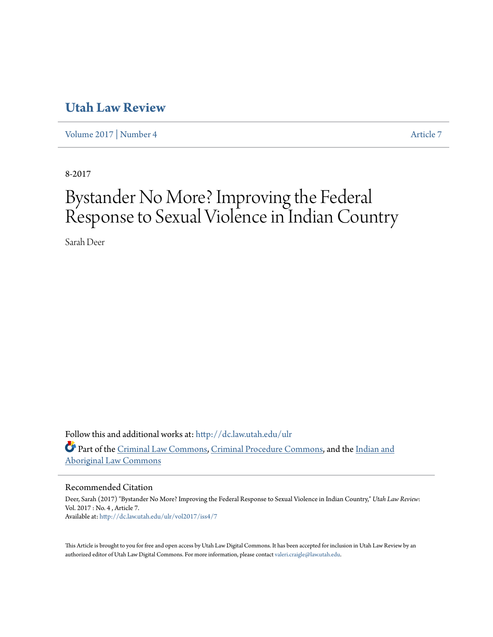# **[Utah Law Review](http://dc.law.utah.edu/ulr?utm_source=dc.law.utah.edu%2Fulr%2Fvol2017%2Fiss4%2F7&utm_medium=PDF&utm_campaign=PDFCoverPages)**

[Volume 2017](http://dc.law.utah.edu/ulr/vol2017?utm_source=dc.law.utah.edu%2Fulr%2Fvol2017%2Fiss4%2F7&utm_medium=PDF&utm_campaign=PDFCoverPages) | [Number 4](http://dc.law.utah.edu/ulr/vol2017/iss4?utm_source=dc.law.utah.edu%2Fulr%2Fvol2017%2Fiss4%2F7&utm_medium=PDF&utm_campaign=PDFCoverPages) [Article 7](http://dc.law.utah.edu/ulr/vol2017/iss4/7?utm_source=dc.law.utah.edu%2Fulr%2Fvol2017%2Fiss4%2F7&utm_medium=PDF&utm_campaign=PDFCoverPages)

8-2017

# Bystander No More? Improving the Federal Response to Sexual Violence in Indian Country

Sarah Deer

Follow this and additional works at: [http://dc.law.utah.edu/ulr](http://dc.law.utah.edu/ulr?utm_source=dc.law.utah.edu%2Fulr%2Fvol2017%2Fiss4%2F7&utm_medium=PDF&utm_campaign=PDFCoverPages) Part of the [Criminal Law Commons](http://network.bepress.com/hgg/discipline/912?utm_source=dc.law.utah.edu%2Fulr%2Fvol2017%2Fiss4%2F7&utm_medium=PDF&utm_campaign=PDFCoverPages), [Criminal Procedure Commons](http://network.bepress.com/hgg/discipline/1073?utm_source=dc.law.utah.edu%2Fulr%2Fvol2017%2Fiss4%2F7&utm_medium=PDF&utm_campaign=PDFCoverPages), and the [Indian and](http://network.bepress.com/hgg/discipline/894?utm_source=dc.law.utah.edu%2Fulr%2Fvol2017%2Fiss4%2F7&utm_medium=PDF&utm_campaign=PDFCoverPages) [Aboriginal Law Commons](http://network.bepress.com/hgg/discipline/894?utm_source=dc.law.utah.edu%2Fulr%2Fvol2017%2Fiss4%2F7&utm_medium=PDF&utm_campaign=PDFCoverPages)

# Recommended Citation

Deer, Sarah (2017) "Bystander No More? Improving the Federal Response to Sexual Violence in Indian Country," *Utah Law Review*: Vol. 2017 : No. 4 , Article 7. Available at: [http://dc.law.utah.edu/ulr/vol2017/iss4/7](http://dc.law.utah.edu/ulr/vol2017/iss4/7?utm_source=dc.law.utah.edu%2Fulr%2Fvol2017%2Fiss4%2F7&utm_medium=PDF&utm_campaign=PDFCoverPages)

This Article is brought to you for free and open access by Utah Law Digital Commons. It has been accepted for inclusion in Utah Law Review by an authorized editor of Utah Law Digital Commons. For more information, please contact [valeri.craigle@law.utah.edu.](mailto:valeri.craigle@law.utah.edu)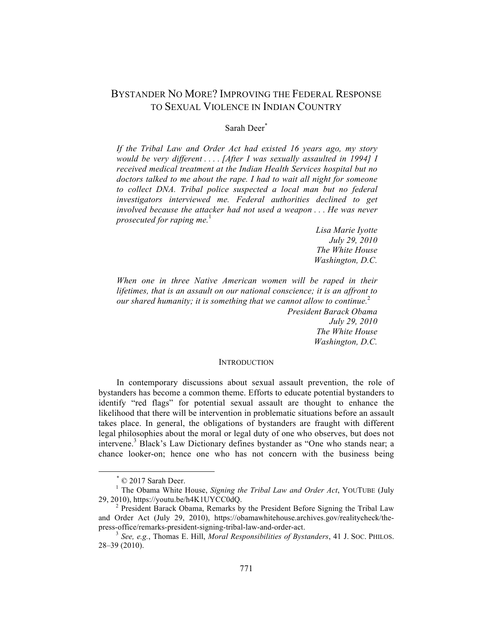# BYSTANDER NO MORE? IMPROVING THE FEDERAL RESPONSE TO SEXUAL VIOLENCE IN INDIAN COUNTRY

# Sarah Deer\*

*If the Tribal Law and Order Act had existed 16 years ago, my story would be very different . . . . [After I was sexually assaulted in 1994] I received medical treatment at the Indian Health Services hospital but no doctors talked to me about the rape. I had to wait all night for someone to collect DNA. Tribal police suspected a local man but no federal investigators interviewed me. Federal authorities declined to get involved because the attacker had not used a weapon . . . He was never prosecuted for raping me.*<sup>1</sup>

> *Lisa Marie Iyotte July 29, 2010 The White House Washington, D.C.*

*When one in three Native American women will be raped in their lifetimes, that is an assault on our national conscience; it is an affront to our shared humanity; it is something that we cannot allow to continue.*<sup>2</sup>

*President Barack Obama July 29, 2010 The White House Washington, D.C.*

#### **INTRODUCTION**

In contemporary discussions about sexual assault prevention, the role of bystanders has become a common theme. Efforts to educate potential bystanders to identify "red flags" for potential sexual assault are thought to enhance the likelihood that there will be intervention in problematic situations before an assault takes place. In general, the obligations of bystanders are fraught with different legal philosophies about the moral or legal duty of one who observes, but does not intervene.<sup>3</sup> Black's Law Dictionary defines bystander as "One who stands near; a chance looker-on; hence one who has not concern with the business being

 $*$  © 2017 Sarah Deer.

<sup>&</sup>lt;sup>1</sup> The Obama White House, *Signing the Tribal Law and Order Act*, YOUTUBE (July 29, 2010), https://youtu.be/h4K1UYCC0dQ. <sup>2</sup> President Barack Obama, Remarks by the President Before Signing the Tribal Law

and Order Act (July 29, 2010), https://obamawhitehouse.archives.gov/realitycheck/the-<br>press-office/remarks-president-signing-tribal-law-and-order-act.

press-office/remarks-president-signing-tribal-law-and-order-act. <sup>3</sup> *See, e.g.*, Thomas E. Hill, *Moral Responsibilities of Bystanders*, 41 J. SOC. PHILOS. 28–39 (2010).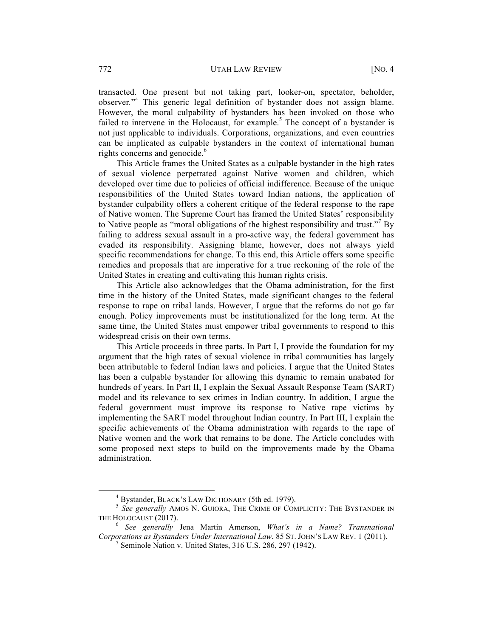transacted. One present but not taking part, looker-on, spectator, beholder, observer*.*" <sup>4</sup> This generic legal definition of bystander does not assign blame. However, the moral culpability of bystanders has been invoked on those who failed to intervene in the Holocaust, for example.<sup>5</sup> The concept of a bystander is not just applicable to individuals. Corporations, organizations, and even countries can be implicated as culpable bystanders in the context of international human rights concerns and genocide. 6

This Article frames the United States as a culpable bystander in the high rates of sexual violence perpetrated against Native women and children, which developed over time due to policies of official indifference. Because of the unique responsibilities of the United States toward Indian nations, the application of bystander culpability offers a coherent critique of the federal response to the rape of Native women. The Supreme Court has framed the United States' responsibility to Native people as "moral obligations of the highest responsibility and trust."<sup>7</sup> By failing to address sexual assault in a pro-active way, the federal government has evaded its responsibility. Assigning blame, however, does not always yield specific recommendations for change. To this end, this Article offers some specific remedies and proposals that are imperative for a true reckoning of the role of the United States in creating and cultivating this human rights crisis.

This Article also acknowledges that the Obama administration, for the first time in the history of the United States, made significant changes to the federal response to rape on tribal lands. However, I argue that the reforms do not go far enough. Policy improvements must be institutionalized for the long term. At the same time, the United States must empower tribal governments to respond to this widespread crisis on their own terms.

This Article proceeds in three parts. In Part I, I provide the foundation for my argument that the high rates of sexual violence in tribal communities has largely been attributable to federal Indian laws and policies. I argue that the United States has been a culpable bystander for allowing this dynamic to remain unabated for hundreds of years. In Part II, I explain the Sexual Assault Response Team (SART) model and its relevance to sex crimes in Indian country. In addition, I argue the federal government must improve its response to Native rape victims by implementing the SART model throughout Indian country. In Part III, I explain the specific achievements of the Obama administration with regards to the rape of Native women and the work that remains to be done. The Article concludes with some proposed next steps to build on the improvements made by the Obama administration.

<sup>&</sup>lt;sup>4</sup> Bystander, BLACK'S LAW DICTIONARY (5th ed. 1979).<br><sup>5</sup> *See generally* AMOS N. GUIORA, THE CRIME OF COMPLICITY: THE BYSTANDER IN THE HOLOCAUST (2017). <sup>6</sup> *See generally* Jena Martin Amerson, *What's in a Name? Transnational* 

*Corporations as Bystanders Under International Law*, 85 ST. JOHN'S LAW REV. 1 (2011).<br><sup>7</sup> Seminole Nation v. United States, 316 U.S. 286, 297 (1942).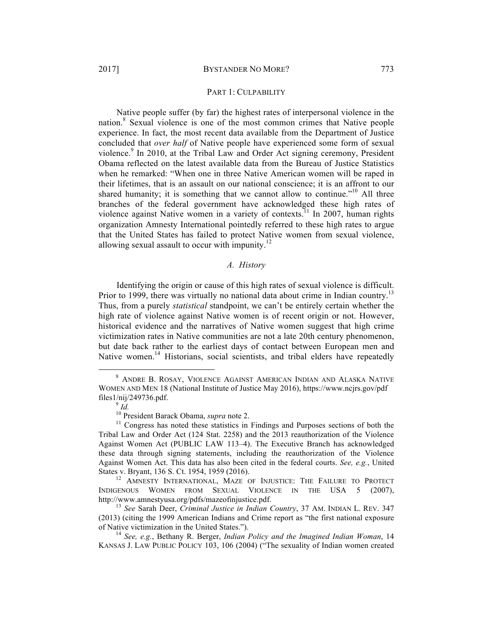#### PART 1: CULPABILITY

Native people suffer (by far) the highest rates of interpersonal violence in the nation.<sup>8</sup> Sexual violence is one of the most common crimes that Native people experience. In fact, the most recent data available from the Department of Justice concluded that *over half* of Native people have experienced some form of sexual violence.<sup>9</sup> In 2010, at the Tribal Law and Order Act signing ceremony, President Obama reflected on the latest available data from the Bureau of Justice Statistics when he remarked: "When one in three Native American women will be raped in their lifetimes, that is an assault on our national conscience; it is an affront to our shared humanity; it is something that we cannot allow to continue."<sup>10</sup> All three branches of the federal government have acknowledged these high rates of violence against Native women in a variety of contexts.<sup>11</sup> In 2007, human rights organization Amnesty International pointedly referred to these high rates to argue that the United States has failed to protect Native women from sexual violence, allowing sexual assault to occur with impunity.<sup>12</sup>

# *A. History*

Identifying the origin or cause of this high rates of sexual violence is difficult. Prior to 1999, there was virtually no national data about crime in Indian country.<sup>13</sup> Thus, from a purely *statistical* standpoint, we can't be entirely certain whether the high rate of violence against Native women is of recent origin or not. However, historical evidence and the narratives of Native women suggest that high crime victimization rates in Native communities are not a late 20th century phenomenon, but date back rather to the earliest days of contact between European men and Native women.<sup>14</sup> Historians, social scientists, and tribal elders have repeatedly

 <sup>8</sup> ANDRE B. ROSAY, VIOLENCE AGAINST AMERICAN INDIAN AND ALASKA NATIVE WOMEN AND MEN 18 (National Institute of Justice May 2016), https://www.ncjrs.gov/pdf files1/nij/249736.pdf.<br><sup>9</sup> *Id.* <sup>10</sup> President Barack Obama, *supra* note 2.

<sup>&</sup>lt;sup>11</sup> Congress has noted these statistics in Findings and Purposes sections of both the Tribal Law and Order Act (124 Stat. 2258) and the 2013 reauthorization of the Violence Against Women Act (PUBLIC LAW 113–4). The Executive Branch has acknowledged these data through signing statements, including the reauthorization of the Violence Against Women Act. This data has also been cited in the federal courts. *See, e.g.*, United States v. Bryant, 136 S. Ct. 1954, 1959 (2016).<br><sup>12</sup> AMNESTY INTERNATIONAL, MAZE OF INJUSTICE: THE FAILURE TO PROTECT

INDIGENOUS WOMEN FROM SEXUAL VIOLENCE IN THE USA 5 (2007), http://www.amnestyusa.org/pdfs/mazeofinjustice.pdf. <sup>13</sup> *See* Sarah Deer, *Criminal Justice in Indian Country*, 37 AM. INDIAN L. REV. <sup>347</sup>

<sup>(2013) (</sup>citing the 1999 American Indians and Crime report as "the first national exposure

<sup>&</sup>lt;sup>14</sup> See, e.g., Bethany R. Berger, *Indian Policy and the Imagined Indian Woman*, 14 KANSAS J. LAW PUBLIC POLICY 103, 106 (2004) ("The sexuality of Indian women created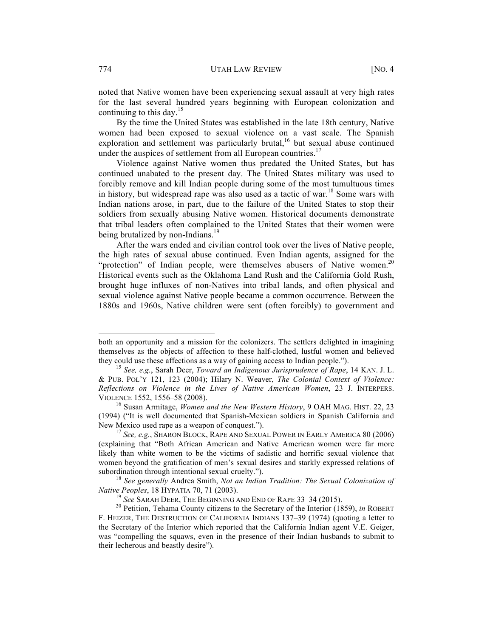noted that Native women have been experiencing sexual assault at very high rates for the last several hundred years beginning with European colonization and continuing to this day.<sup>15</sup>

By the time the United States was established in the late 18th century, Native women had been exposed to sexual violence on a vast scale. The Spanish exploration and settlement was particularly brutal,<sup>16</sup> but sexual abuse continued under the auspices of settlement from all European countries.<sup>17</sup>

Violence against Native women thus predated the United States, but has continued unabated to the present day. The United States military was used to forcibly remove and kill Indian people during some of the most tumultuous times in history, but widespread rape was also used as a tactic of war.<sup>18</sup> Some wars with Indian nations arose, in part, due to the failure of the United States to stop their soldiers from sexually abusing Native women. Historical documents demonstrate that tribal leaders often complained to the United States that their women were being brutalized by non-Indians.<sup>19</sup>

After the wars ended and civilian control took over the lives of Native people, the high rates of sexual abuse continued. Even Indian agents, assigned for the "protection" of Indian people, were themselves abusers of Native women.<sup>20</sup> Historical events such as the Oklahoma Land Rush and the California Gold Rush, brought huge influxes of non-Natives into tribal lands, and often physical and sexual violence against Native people became a common occurrence. Between the 1880s and 1960s, Native children were sent (often forcibly) to government and

both an opportunity and a mission for the colonizers. The settlers delighted in imagining themselves as the objects of affection to these half-clothed, lustful women and believed they could use these affections as a way of gaining access to Indian people."). <sup>15</sup> *See, e.g.*, Sarah Deer, *Toward an Indigenous Jurisprudence of Rape*, 14 KAN. J. L.

<sup>&</sup>amp; PUB. POL'Y 121, 123 (2004); Hilary N. Weaver, *The Colonial Context of Violence: Reflections on Violence in the Lives of Native American Women*, 23 J. INTERPERS. VIOLENCE 1552, 1556–58 (2008). <sup>16</sup> Susan Armitage, *Women and the New Western History*, 9 OAH MAG. HIST. 22, 23

<sup>(1994) (&</sup>quot;It is well documented that Spanish-Mexican soldiers in Spanish California and New Mexico used rape as a weapon of conquest.").<br><sup>17</sup> *See, e.g.*, SHARON BLOCK, RAPE AND SEXUAL POWER IN EARLY AMERICA 80 (2006)

<sup>(</sup>explaining that "Both African American and Native American women were far more likely than white women to be the victims of sadistic and horrific sexual violence that women beyond the gratification of men's sexual desires and starkly expressed relations of subordination through intentional sexual cruelty."). <sup>18</sup> *See generally* Andrea Smith, *Not an Indian Tradition: The Sexual Colonization of* 

*Native Peoples*, 18 HYPATIA 70, 71 (2003).<br><sup>19</sup> *See* SARAH DEER, THE BEGINNING AND END OF RAPE 33–34 (2015).<br><sup>20</sup> Petition, Tehama County citizens to the Secretary of the Interior (1859), *in* ROBERT

F. HEIZER, THE DESTRUCTION OF CALIFORNIA INDIANS 137–39 (1974) (quoting a letter to the Secretary of the Interior which reported that the California Indian agent V.E. Geiger, was "compelling the squaws, even in the presence of their Indian husbands to submit to their lecherous and beastly desire").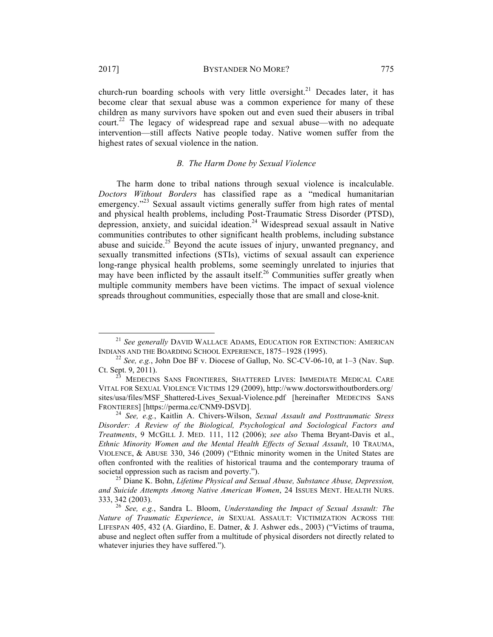church-run boarding schools with very little oversight.<sup>21</sup> Decades later, it has become clear that sexual abuse was a common experience for many of these children as many survivors have spoken out and even sued their abusers in tribal court.<sup>22</sup> The legacy of widespread rape and sexual abuse—with no adequate intervention—still affects Native people today. Native women suffer from the highest rates of sexual violence in the nation.

# *B. The Harm Done by Sexual Violence*

The harm done to tribal nations through sexual violence is incalculable. *Doctors Without Borders* has classified rape as a "medical humanitarian emergency."<sup>23</sup> Sexual assault victims generally suffer from high rates of mental and physical health problems, including Post-Traumatic Stress Disorder (PTSD), depression, anxiety, and suicidal ideation.<sup>24</sup> Widespread sexual assault in Native communities contributes to other significant health problems, including substance abuse and suicide.<sup>25</sup> Beyond the acute issues of injury, unwanted pregnancy, and sexually transmitted infections (STIs), victims of sexual assault can experience long-range physical health problems, some seemingly unrelated to injuries that may have been inflicted by the assault itself.<sup>26</sup> Communities suffer greatly when multiple community members have been victims. The impact of sexual violence spreads throughout communities, especially those that are small and close-knit.

<sup>&</sup>lt;sup>21</sup> *See generally* DAVID WALLACE ADAMS, EDUCATION FOR EXTINCTION: AMERICAN INDIANS AND THE BOARDING SCHOOL EXPERIENCE, 1875–1928 (1995).

<sup>&</sup>lt;sup>22</sup> *See, e.g.*, John Doe BF v. Diocese of Gallup, No. SC-CV-06-10, at  $1-3$  (Nav. Sup. Ct. Sept. 9, 2011). <sup>23</sup> MEDECINS SANS FRONTIERES, SHATTERED LIVES: IMMEDIATE MEDICAL CARE

VITAL FOR SEXUAL VIOLENCE VICTIMS 129 (2009), http://www.doctorswithoutborders.org/ sites/usa/files/MSF\_Shattered-Lives\_Sexual-Violence.pdf [hereinafter MEDECINS SANS FRONTIERES] [https://perma.cc/CNM9-DSVD]. 24 *See, e.g.*, Kaitlin A. Chivers-Wilson, *Sexual Assault and Posttraumatic Stress* 

*Disorder: A Review of the Biological, Psychological and Sociological Factors and Treatments*, 9 MCGILL J. MED. 111, 112 (2006); *see also* Thema Bryant-Davis et al., *Ethnic Minority Women and the Mental Health Effects of Sexual Assault*, 10 TRAUMA, VIOLENCE, & ABUSE 330, 346 (2009) ("Ethnic minority women in the United States are often confronted with the realities of historical trauma and the contemporary trauma of societal oppression such as racism and poverty."). <sup>25</sup> Diane K. Bohn, *Lifetime Physical and Sexual Abuse, Substance Abuse, Depression,* 

*and Suicide Attempts Among Native American Women*, 24 ISSUES MENT. HEALTH NURS. 333, 342 (2003). <sup>26</sup> *See, e.g.*, Sandra L. Bloom, *Understanding the Impact of Sexual Assault: The* 

*Nature of Traumatic Experience*, *in* SEXUAL ASSAULT: VICTIMIZATION ACROSS THE LIFESPAN 405, 432 (A. Giardino, E. Datner, & J. Ashwer eds., 2003) ("Victims of trauma, abuse and neglect often suffer from a multitude of physical disorders not directly related to whatever injuries they have suffered.").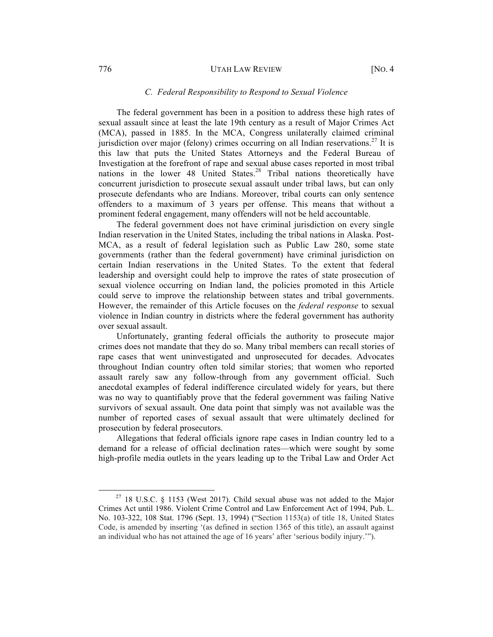#### 776 UTAH LAW REVIEW [NO. 4

#### *C. Federal Responsibility to Respond to Sexual Violence*

The federal government has been in a position to address these high rates of sexual assault since at least the late 19th century as a result of Major Crimes Act (MCA), passed in 1885. In the MCA, Congress unilaterally claimed criminal jurisdiction over major (felony) crimes occurring on all Indian reservations.<sup>27</sup> It is this law that puts the United States Attorneys and the Federal Bureau of Investigation at the forefront of rape and sexual abuse cases reported in most tribal nations in the lower 48 United States.<sup>28</sup> Tribal nations theoretically have concurrent jurisdiction to prosecute sexual assault under tribal laws, but can only prosecute defendants who are Indians. Moreover, tribal courts can only sentence offenders to a maximum of 3 years per offense. This means that without a prominent federal engagement, many offenders will not be held accountable.

The federal government does not have criminal jurisdiction on every single Indian reservation in the United States, including the tribal nations in Alaska. Post-MCA, as a result of federal legislation such as Public Law 280, some state governments (rather than the federal government) have criminal jurisdiction on certain Indian reservations in the United States. To the extent that federal leadership and oversight could help to improve the rates of state prosecution of sexual violence occurring on Indian land, the policies promoted in this Article could serve to improve the relationship between states and tribal governments. However, the remainder of this Article focuses on the *federal response* to sexual violence in Indian country in districts where the federal government has authority over sexual assault.

Unfortunately, granting federal officials the authority to prosecute major crimes does not mandate that they do so. Many tribal members can recall stories of rape cases that went uninvestigated and unprosecuted for decades. Advocates throughout Indian country often told similar stories; that women who reported assault rarely saw any follow-through from any government official. Such anecdotal examples of federal indifference circulated widely for years, but there was no way to quantifiably prove that the federal government was failing Native survivors of sexual assault. One data point that simply was not available was the number of reported cases of sexual assault that were ultimately declined for prosecution by federal prosecutors.

Allegations that federal officials ignore rape cases in Indian country led to a demand for a release of official declination rates—which were sought by some high-profile media outlets in the years leading up to the Tribal Law and Order Act

 $27$  18 U.S.C. § 1153 (West 2017). Child sexual abuse was not added to the Major Crimes Act until 1986. Violent Crime Control and Law Enforcement Act of 1994, Pub. L. No. 103-322, 108 Stat. 1796 (Sept. 13, 1994) ("Section 1153(a) of title 18, United States Code, is amended by inserting '(as defined in section 1365 of this title), an assault against an individual who has not attained the age of 16 years' after 'serious bodily injury.'").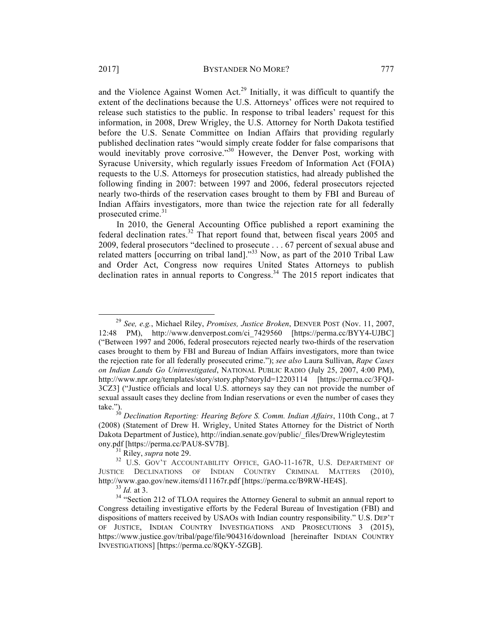and the Violence Against Women Act.<sup>29</sup> Initially, it was difficult to quantify the extent of the declinations because the U.S. Attorneys' offices were not required to release such statistics to the public. In response to tribal leaders' request for this information, in 2008, Drew Wrigley, the U.S. Attorney for North Dakota testified before the U.S. Senate Committee on Indian Affairs that providing regularly published declination rates "would simply create fodder for false comparisons that would inevitably prove corrosive."<sup>30</sup> However, the Denver Post, working with Syracuse University, which regularly issues Freedom of Information Act (FOIA) requests to the U.S. Attorneys for prosecution statistics, had already published the following finding in 2007: between 1997 and 2006, federal prosecutors rejected nearly two-thirds of the reservation cases brought to them by FBI and Bureau of Indian Affairs investigators, more than twice the rejection rate for all federally prosecuted crime.<sup>31</sup>

In 2010, the General Accounting Office published a report examining the federal declination rates. $32$  That report found that, between fiscal years 2005 and 2009, federal prosecutors "declined to prosecute . . . 67 percent of sexual abuse and related matters [occurring on tribal land]."<sup>33</sup> Now, as part of the 2010 Tribal Law and Order Act, Congress now requires United States Attorneys to publish declination rates in annual reports to Congress.<sup>34</sup> The 2015 report indicates that

 <sup>29</sup> *See, e.g.*, Michael Riley, *Promises, Justice Broken*, DENVER POST (Nov. 11, 2007, 12:48 PM), http://www.denverpost.com/ci\_7429560 [https://perma.cc/BYY4-UJBC] ("Between 1997 and 2006, federal prosecutors rejected nearly two-thirds of the reservation cases brought to them by FBI and Bureau of Indian Affairs investigators, more than twice the rejection rate for all federally prosecuted crime."); *see also* Laura Sullivan, *Rape Cases on Indian Lands Go Uninvestigated*, NATIONAL PUBLIC RADIO (July 25, 2007, 4:00 PM), http://www.npr.org/templates/story/story.php?storyId=12203114 [https://perma.cc/3FQJ-3CZ3] ("Justice officials and local U.S. attorneys say they can not provide the number of sexual assault cases they decline from Indian reservations or even the number of cases they take.").

<sup>&</sup>lt;sup>30</sup> Declination Reporting: Hearing Before S. Comm. Indian Affairs, 110th Cong., at 7 (2008) (Statement of Drew H. Wrigley, United States Attorney for the District of North Dakota Department of Justice), http://indian.senate.gov/public/\_files/DrewWrigleytestim

ony.pdf [https://perma.cc/PAU8-SV7B].<br><sup>31</sup> Riley, *supra* note 29.<br><sup>32</sup> U.S. GOV'T ACCOUNTABILITY OFFICE, GAO-11-167R, U.S. DEPARTMENT OF JUSTICE DECLINATIONS OF INDIAN COUNTRY CRIMINAL MATTERS (2010), http://www.gao.gov/new.items/d11167r.pdf [https://perma.cc/B9RW-HE4S].<br><sup>33</sup> *Id.* at 3. <sup>34</sup> "Section 212 of TLOA requires the Attorney General to submit an annual report to

Congress detailing investigative efforts by the Federal Bureau of Investigation (FBI) and dispositions of matters received by USAOs with Indian country responsibility." U.S. DEP'T OF JUSTICE, INDIAN COUNTRY INVESTIGATIONS AND PROSECUTIONS 3 (2015), https://www.justice.gov/tribal/page/file/904316/download [hereinafter INDIAN COUNTRY INVESTIGATIONS] [https://perma.cc/8QKY-5ZGB].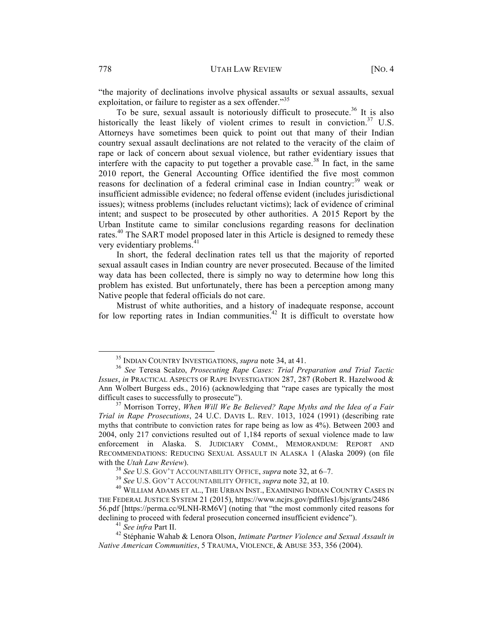"the majority of declinations involve physical assaults or sexual assaults, sexual exploitation, or failure to register as a sex offender."<sup>35</sup>

To be sure, sexual assault is notoriously difficult to prosecute.<sup>36</sup> It is also historically the least likely of violent crimes to result in conviction.<sup>37</sup> U.S. Attorneys have sometimes been quick to point out that many of their Indian country sexual assault declinations are not related to the veracity of the claim of rape or lack of concern about sexual violence, but rather evidentiary issues that interfere with the capacity to put together a provable case.<sup>38</sup> In fact, in the same 2010 report, the General Accounting Office identified the five most common reasons for declination of a federal criminal case in Indian country:<sup>39</sup> weak or insufficient admissible evidence; no federal offense evident (includes jurisdictional issues); witness problems (includes reluctant victims); lack of evidence of criminal intent; and suspect to be prosecuted by other authorities. A 2015 Report by the Urban Institute came to similar conclusions regarding reasons for declination rates.<sup>40</sup> The SART model proposed later in this Article is designed to remedy these very evidentiary problems.<sup>41</sup>

In short, the federal declination rates tell us that the majority of reported sexual assault cases in Indian country are never prosecuted. Because of the limited way data has been collected, there is simply no way to determine how long this problem has existed. But unfortunately, there has been a perception among many Native people that federal officials do not care.

Mistrust of white authorities, and a history of inadequate response, account for low reporting rates in Indian communities.<sup>42</sup> It is difficult to overstate how

<sup>35</sup> INDIAN COUNTRY INVESTIGATIONS, *supra* note 34, at 41. <sup>36</sup> *See* Teresa Scalzo, *Prosecuting Rape Cases: Trial Preparation and Trial Tactic Issues*, *in* PRACTICAL ASPECTS OF RAPE INVESTIGATION 287, 287 (Robert R. Hazelwood & Ann Wolbert Burgess eds., 2016) (acknowledging that "rape cases are typically the most difficult cases to successfully to prosecute").<br><sup>37</sup> Morrison Torrey, *When Will We Be Believed? Rape Myths and the Idea of a Fair* 

*Trial in Rape Prosecutions*, 24 U.C. DAVIS L. REV. 1013, 1024 (1991) (describing rate myths that contribute to conviction rates for rape being as low as 4%). Between 2003 and 2004, only 217 convictions resulted out of 1,184 reports of sexual violence made to law enforcement in Alaska. S. JUDICIARY COMM., MEMORANDUM: REPORT AND RECOMMENDATIONS: REDUCING SEXUAL ASSAULT IN ALASKA 1 (Alaska 2009) (on file with the *Utah Law Review*).<br><sup>38</sup> See U.S. GOV'T ACCOUNTABILITY OFFICE, *supra* note 32, at 6–7.<br><sup>39</sup> See U.S. GOV'T ACCOUNTABILITY OFFICE, *supra* note 32, at 10.<br><sup>40</sup> WILLIAM ADAMS ET AL., THE URBAN INST., EXAMINING IND

THE FEDERAL JUSTICE SYSTEM 21 (2015), https://www.ncjrs.gov/pdffiles1/bjs/grants/2486 56.pdf [https://perma.cc/9LNH-RM6V] (noting that "the most commonly cited reasons for

declining to proceed with federal prosecution concerned insufficient evidence").<br><sup>41</sup> *See infra* Part II.<br><sup>42</sup> Stéphanie Wahab & Lenora Olson, *Intimate Partner Violence and Sexual Assault in Native American Communities*, 5 TRAUMA, VIOLENCE, & ABUSE 353, 356 (2004).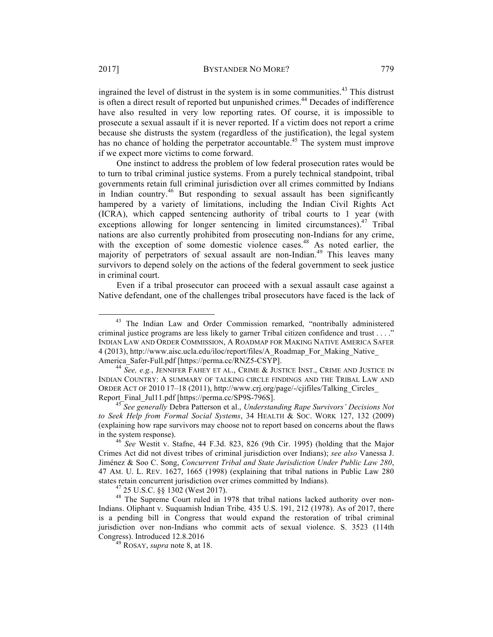ingrained the level of distrust in the system is in some communities.<sup>43</sup> This distrust is often a direct result of reported but unpunished crimes.<sup>44</sup> Decades of indifference have also resulted in very low reporting rates. Of course, it is impossible to prosecute a sexual assault if it is never reported. If a victim does not report a crime because she distrusts the system (regardless of the justification), the legal system has no chance of holding the perpetrator accountable.<sup>45</sup> The system must improve if we expect more victims to come forward.

One instinct to address the problem of low federal prosecution rates would be to turn to tribal criminal justice systems. From a purely technical standpoint, tribal governments retain full criminal jurisdiction over all crimes committed by Indians in Indian country.<sup>46</sup> But responding to sexual assault has been significantly hampered by a variety of limitations, including the Indian Civil Rights Act (ICRA), which capped sentencing authority of tribal courts to 1 year (with exceptions allowing for longer sentencing in limited circumstances).  $47$  Tribal nations are also currently prohibited from prosecuting non-Indians for any crime, with the exception of some domestic violence cases.<sup>48</sup> As noted earlier, the majority of perpetrators of sexual assault are non-Indian.<sup>49</sup> This leaves many survivors to depend solely on the actions of the federal government to seek justice in criminal court.

Even if a tribal prosecutor can proceed with a sexual assault case against a Native defendant, one of the challenges tribal prosecutors have faced is the lack of

<sup>&</sup>lt;sup>43</sup> The Indian Law and Order Commission remarked, "nontribally administered criminal justice programs are less likely to garner Tribal citizen confidence and trust . . . ." INDIAN LAW AND ORDER COMMISSION, A ROADMAP FOR MAKING NATIVE AMERICA SAFER 4 (2013), http://www.aisc.ucla.edu/iloc/report/files/A\_Roadmap\_For\_Making\_Native\_ America\_Safer-Full.pdf [https://perma.cc/RNZ5-CSYP]. <sup>44</sup> *See, e.g.*, JENNIFER FAHEY ET AL., CRIME & JUSTICE INST., CRIME AND JUSTICE IN

INDIAN COUNTRY: A SUMMARY OF TALKING CIRCLE FINDINGS AND THE TRIBAL LAW AND ORDER ACT OF 2010 17–18 (2011), http://www.crj.org/page/-/cjifiles/Talking\_Circles\_ Report\_Final\_Jul11.pdf [https://perma.cc/SP9S-796S]. <sup>45</sup> *See generally* Debra Patterson et al., *Understanding Rape Survivors' Decisions Not* 

*to Seek Help from Formal Social Systems*, 34 HEALTH & SOC. WORK 127, 132 (2009) (explaining how rape survivors may choose not to report based on concerns about the flaws in the system response). <sup>46</sup> *See* Westit v. Stafne, 44 F.3d. 823, 826 (9th Cir. 1995) (holding that the Major

Crimes Act did not divest tribes of criminal jurisdiction over Indians); *see also* Vanessa J. Jiménez & Soo C. Song, *Concurrent Tribal and State Jurisdiction Under Public Law 280*, 47 AM. U. L. REV. 1627, 1665 (1998) (explaining that tribal nations in Public Law 280 states retain concurrent jurisdiction over crimes committed by Indians).<br><sup>47</sup> 25 U.S.C. §§ 1302 (West 2017).<br><sup>48</sup> The Supreme Court ruled in 1978 that tribal nations lacked authority over non-

Indians. Oliphant v. Suquamish Indian Tribe*,* 435 U.S. 191, 212 (1978). As of 2017, there is a pending bill in Congress that would expand the restoration of tribal criminal jurisdiction over non-Indians who commit acts of sexual violence. S. 3523 (114th Congress). Introduced 12.8.2016

<sup>49</sup> ROSAY, *supra* note 8, at 18.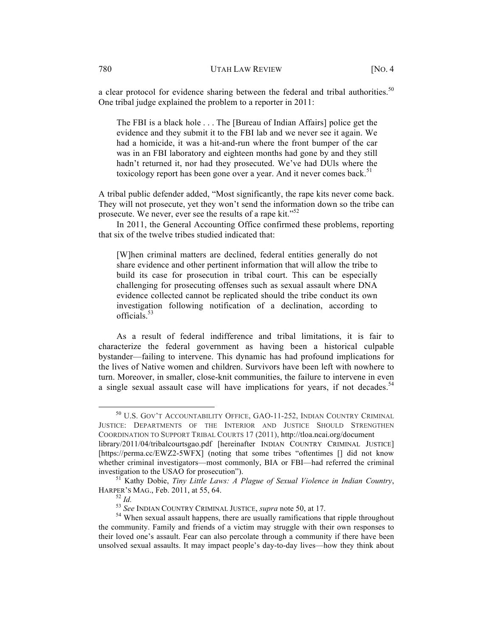a clear protocol for evidence sharing between the federal and tribal authorities.<sup>50</sup> One tribal judge explained the problem to a reporter in 2011:

The FBI is a black hole . . . The [Bureau of Indian Affairs] police get the evidence and they submit it to the FBI lab and we never see it again. We had a homicide, it was a hit-and-run where the front bumper of the car was in an FBI laboratory and eighteen months had gone by and they still hadn't returned it, nor had they prosecuted. We've had DUls where the toxicology report has been gone over a year. And it never comes back.<sup>51</sup>

A tribal public defender added, "Most significantly, the rape kits never come back. They will not prosecute, yet they won't send the information down so the tribe can prosecute. We never, ever see the results of a rape kit."<sup>52</sup>

In 2011, the General Accounting Office confirmed these problems, reporting that six of the twelve tribes studied indicated that:

[W]hen criminal matters are declined, federal entities generally do not share evidence and other pertinent information that will allow the tribe to build its case for prosecution in tribal court. This can be especially challenging for prosecuting offenses such as sexual assault where DNA evidence collected cannot be replicated should the tribe conduct its own investigation following notification of a declination, according to officials.53

As a result of federal indifference and tribal limitations, it is fair to characterize the federal government as having been a historical culpable bystander—failing to intervene. This dynamic has had profound implications for the lives of Native women and children. Survivors have been left with nowhere to turn. Moreover, in smaller, close-knit communities, the failure to intervene in even a single sexual assault case will have implications for years, if not decades.<sup>54</sup>

 <sup>50</sup> U.S. GOV'T ACCOUNTABILITY OFFICE, GAO-11-252, INDIAN COUNTRY CRIMINAL JUSTICE: DEPARTMENTS OF THE INTERIOR AND JUSTICE SHOULD STRENGTHEN COORDINATION TO SUPPORT TRIBAL COURTS 17 (2011), http://tloa.ncai.org/document library/2011/04/tribalcourtsgao.pdf [hereinafter INDIAN COUNTRY CRIMINAL JUSTICE]

<sup>[</sup>https://perma.cc/EWZ2-5WFX] (noting that some tribes "oftentimes [] did not know whether criminal investigators—most commonly, BIA or FBI—had referred the criminal investigation to the USAO for prosecution").

<sup>&</sup>lt;sup>51</sup> Kathy Dobie, *Tiny Little Laws: A Plague of Sexual Violence in Indian Country*, HARPER'S MAG., Feb. 2011, at 55, 64.<br><sup>52</sup> *Id.* <sup>53</sup> *See* INDIAN COUNTRY CRIMINAL JUSTICE, *supra* note 50, at 17.<br><sup>54</sup> When sexual assault happens, there are usually ramifications that ripple throughout

the community. Family and friends of a victim may struggle with their own responses to their loved one's assault. Fear can also percolate through a community if there have been unsolved sexual assaults. It may impact people's day-to-day lives—how they think about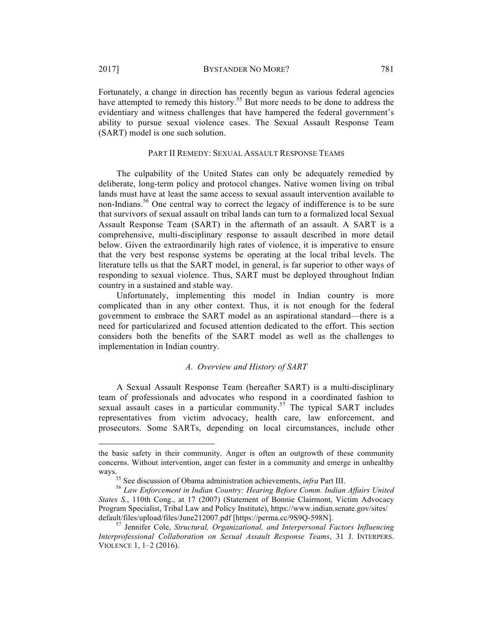$\overline{a}$ 

Fortunately, a change in direction has recently begun as various federal agencies have attempted to remedy this history.<sup>55</sup> But more needs to be done to address the evidentiary and witness challenges that have hampered the federal government's ability to pursue sexual violence cases. The Sexual Assault Response Team (SART) model is one such solution.

### PART II REMEDY: SEXUAL ASSAULT RESPONSE TEAMS

The culpability of the United States can only be adequately remedied by deliberate, long-term policy and protocol changes. Native women living on tribal lands must have at least the same access to sexual assault intervention available to non-Indians.<sup>56</sup> One central way to correct the legacy of indifference is to be sure that survivors of sexual assault on tribal lands can turn to a formalized local Sexual Assault Response Team (SART) in the aftermath of an assault. A SART is a comprehensive, multi-disciplinary response to assault described in more detail below. Given the extraordinarily high rates of violence, it is imperative to ensure that the very best response systems be operating at the local tribal levels. The literature tells us that the SART model, in general, is far superior to other ways of responding to sexual violence. Thus, SART must be deployed throughout Indian country in a sustained and stable way.

Unfortunately, implementing this model in Indian country is more complicated than in any other context. Thus, it is not enough for the federal government to embrace the SART model as an aspirational standard—there is a need for particularized and focused attention dedicated to the effort. This section considers both the benefits of the SART model as well as the challenges to implementation in Indian country.

# *A. Overview and History of SART*

A Sexual Assault Response Team (hereafter SART) is a multi-disciplinary team of professionals and advocates who respond in a coordinated fashion to sexual assault cases in a particular community.<sup>57</sup> The typical SART includes representatives from victim advocacy, health care, law enforcement, and prosecutors. Some SARTs, depending on local circumstances, include other

the basic safety in their community. Anger is often an outgrowth of these community concerns. Without intervention, anger can fester in a community and emerge in unhealthy

ways.<br><sup>55</sup> See discussion of Obama administration achievements, *infra* Part III.<br><sup>56</sup> *Law Enforcement in Indian Country: Hearing Before Comm. Indian Affairs United States S.*, 110th Cong., at 17 (2007) (Statement of Bonnie Clairmont, Victim Advocacy Program Specialist, Tribal Law and Policy Institute), https://www.indian.senate.gov/sites/ default/files/upload/files/June212007.pdf [https://perma.cc/9S9Q-598N]. <sup>57</sup> Jennifer Cole, *Structural, Organizational, and Interpersonal Factors Influencing* 

*Interprofessional Collaboration on Sexual Assault Response Teams*, 31 J. INTERPERS. VIOLENCE 1, 1–2 (2016).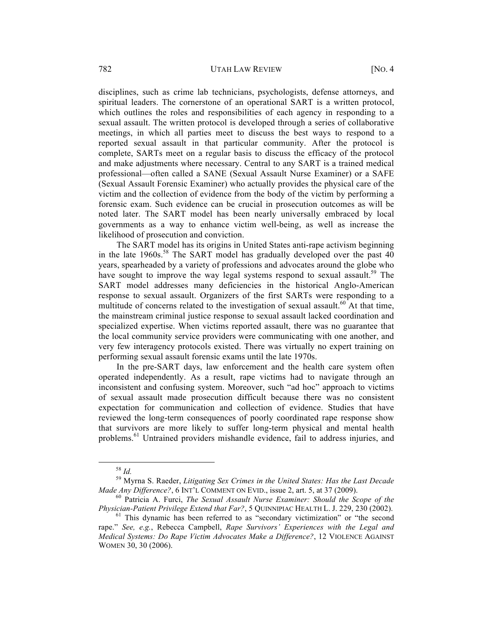disciplines, such as crime lab technicians, psychologists, defense attorneys, and spiritual leaders. The cornerstone of an operational SART is a written protocol, which outlines the roles and responsibilities of each agency in responding to a sexual assault. The written protocol is developed through a series of collaborative meetings, in which all parties meet to discuss the best ways to respond to a reported sexual assault in that particular community. After the protocol is complete, SARTs meet on a regular basis to discuss the efficacy of the protocol and make adjustments where necessary. Central to any SART is a trained medical professional—often called a SANE (Sexual Assault Nurse Examiner) or a SAFE (Sexual Assault Forensic Examiner) who actually provides the physical care of the victim and the collection of evidence from the body of the victim by performing a forensic exam. Such evidence can be crucial in prosecution outcomes as will be noted later. The SART model has been nearly universally embraced by local governments as a way to enhance victim well-being, as well as increase the likelihood of prosecution and conviction.

The SART model has its origins in United States anti-rape activism beginning in the late  $1960s$ .<sup>58</sup> The SART model has gradually developed over the past  $40$ years, spearheaded by a variety of professions and advocates around the globe who have sought to improve the way legal systems respond to sexual assault.<sup>59</sup> The SART model addresses many deficiencies in the historical Anglo-American response to sexual assault. Organizers of the first SARTs were responding to a multitude of concerns related to the investigation of sexual assault.<sup>60</sup> At that time, the mainstream criminal justice response to sexual assault lacked coordination and specialized expertise. When victims reported assault, there was no guarantee that the local community service providers were communicating with one another, and very few interagency protocols existed. There was virtually no expert training on performing sexual assault forensic exams until the late 1970s.

In the pre-SART days, law enforcement and the health care system often operated independently. As a result, rape victims had to navigate through an inconsistent and confusing system. Moreover, such "ad hoc" approach to victims of sexual assault made prosecution difficult because there was no consistent expectation for communication and collection of evidence. Studies that have reviewed the long-term consequences of poorly coordinated rape response show that survivors are more likely to suffer long-term physical and mental health problems.<sup>61</sup> Untrained providers mishandle evidence, fail to address injuries, and

<sup>58</sup> *Id.* <sup>59</sup> Myrna S. Raeder, *Litigating Sex Crimes in the United States: Has the Last Decade Made Any Difference?*, 6 INT'L COMMENT ON EVID., issue 2, art. 5, at 37 (2009).<br><sup>60</sup> Patricia A. Furci, *The Sexual Assault Nurse Examiner: Should the Scope of the* 

*Physician-Patient Privilege Extend that Far?*, 5 QUINNIPIAC HEALTH L. J. 229, 230 (2002).<br><sup>61</sup> This dynamic has been referred to as "secondary victimization" or "the second

rape." *See, e.g.*, Rebecca Campbell, *Rape Survivors' Experiences with the Legal and Medical Systems: Do Rape Victim Advocates Make a Difference?*, 12 VIOLENCE AGAINST WOMEN 30, 30 (2006).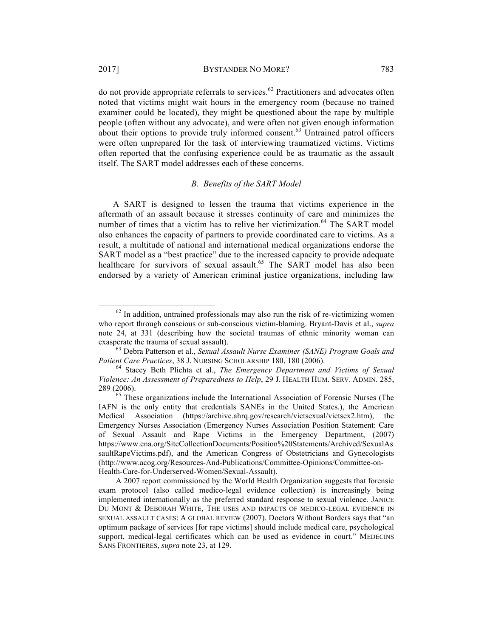do not provide appropriate referrals to services.<sup>62</sup> Practitioners and advocates often noted that victims might wait hours in the emergency room (because no trained examiner could be located), they might be questioned about the rape by multiple people (often without any advocate), and were often not given enough information about their options to provide truly informed consent.<sup>63</sup> Untrained patrol officers were often unprepared for the task of interviewing traumatized victims. Victims often reported that the confusing experience could be as traumatic as the assault itself. The SART model addresses each of these concerns.

#### *B. Benefits of the SART Model*

A SART is designed to lessen the trauma that victims experience in the aftermath of an assault because it stresses continuity of care and minimizes the number of times that a victim has to relive her victimization.<sup>64</sup> The SART model also enhances the capacity of partners to provide coordinated care to victims. As a result, a multitude of national and international medical organizations endorse the SART model as a "best practice" due to the increased capacity to provide adequate healthcare for survivors of sexual assault.<sup>65</sup> The SART model has also been endorsed by a variety of American criminal justice organizations, including law

 $62$  In addition, untrained professionals may also run the risk of re-victimizing women who report through conscious or sub-conscious victim-blaming. Bryant-Davis et al., *supra*  note 24, at 331 (describing how the societal traumas of ethnic minority woman can

exasperate the trauma of sexual assault).<br><sup>63</sup> Debra Patterson et al., *Sexual Assault Nurse Examiner (SANE) Program Goals and Patient Care Practices*, 38 J. NURSING SCHOLARSHIP 180, 180 (2006).

<sup>&</sup>lt;sup>64</sup> Stacey Beth Plichta et al., *The Emergency Department and Victims of Sexual Violence: An Assessment of Preparedness to Help*, 29 J. HEALTH HUM. SERV. ADMIN. 285, 289 (2006). 65 These organizations include the International Association of Forensic Nurses (The

IAFN is the only entity that credentials SANEs in the United States.), the American Medical Association (https://archive.ahrq.gov/research/victsexual/victsex2.htm), the Emergency Nurses Association (Emergency Nurses Association Position Statement: Care of Sexual Assault and Rape Victims in the Emergency Department, (2007) https://www.ena.org/SiteCollectionDocuments/Position%20Statements/Archived/SexualAs saultRapeVictims.pdf), and the American Congress of Obstetricians and Gynecologists (http://www.acog.org/Resources-And-Publications/Committee-Opinions/Committee-on-Health-Care-for-Underserved-Women/Sexual-Assault).

A 2007 report commissioned by the World Health Organization suggests that forensic exam protocol (also called medico-legal evidence collection) is increasingly being implemented internationally as the preferred standard response to sexual violence. JANICE DU MONT & DEBORAH WHITE, THE USES AND IMPACTS OF MEDICO-LEGAL EVIDENCE IN SEXUAL ASSAULT CASES: A GLOBAL REVIEW (2007). Doctors Without Borders says that "an optimum package of services [for rape victims] should include medical care, psychological support, medical-legal certificates which can be used as evidence in court." MEDECINS SANS FRONTIERES, *supra* note 23, at 129.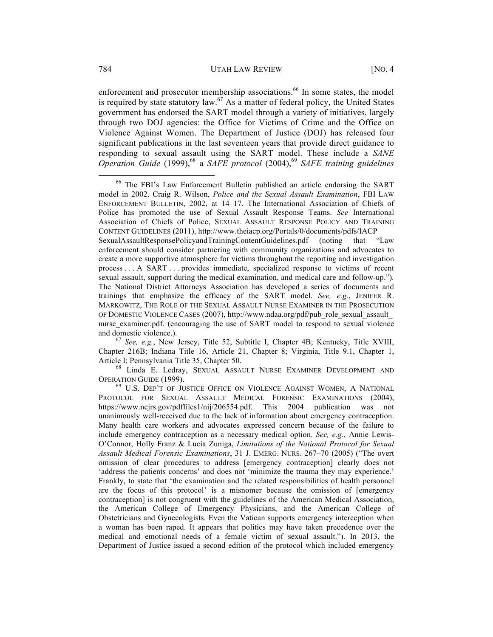enforcement and prosecutor membership associations.<sup>66</sup> In some states, the model is required by state statutory law.<sup>67</sup> As a matter of federal policy, the United States government has endorsed the SART model through a variety of initiatives, largely through two DOJ agencies: the Office for Victims of Crime and the Office on Violence Against Women. The Department of Justice (DOJ) has released four significant publications in the last seventeen years that provide direct guidance to responding to sexual assault using the SART model. These include a *SANE Operation Guide* (1999), <sup>68</sup> a *SAFE protocol* (2004), <sup>69</sup> *SAFE training guidelines*

<sup>66</sup> The FBI's Law Enforcement Bulletin published an article endorsing the SART model in 2002. Craig R. Wilson, *Police and the Sexual Assault Examination*, FBI LAW ENFORCEMENT BULLETIN, 2002, at 14–17. The International Association of Chiefs of Police has promoted the use of Sexual Assault Response Teams. *See* International Association of Chiefs of Police, SEXUAL ASSAULT RESPONSE POLICY AND TRAINING CONTENT GUIDELINES (2011), http://www.theiacp.org/Portals/0/documents/pdfs/IACP SexualAssaultResponsePolicyandTrainingContentGuidelines.pdf (noting that "Law enforcement should consider partnering with community organizations and advocates to create a more supportive atmosphere for victims throughout the reporting and investigation process . . . A SART . . . provides immediate, specialized response to victims of recent sexual assault, support during the medical examination, and medical care and follow-up.")*.*  The National District Attorneys Association has developed a series of documents and trainings that emphasize the efficacy of the SART model. *See, e.g.*, JENIFER R. MARKOWITZ, THE ROLE OF THE SEXUAL ASSAULT NURSE EXAMINER IN THE PROSECUTION OF DOMESTIC VIOLENCE CASES (2007), http://www.ndaa.org/pdf/pub\_role\_sexual\_assault\_ nurse examiner.pdf. (encouraging the use of SART model to respond to sexual violence and domestic violence.). <sup>67</sup> *See, e.g.*, New Jersey, Title 52, Subtitle I, Chapter 4B; Kentucky, Title XVIII,

Chapter 216B; Indiana Title 16, Article 21, Chapter 8; Virginia, Title 9.1, Chapter 1,

Article I; Pennsylvania Title 35, Chapter 50.<br><sup>68</sup> Linda E. Ledray, SEXUAL ASSAULT NURSE EXAMINER DEVELOPMENT AND OPERATION GUIDE (1999).

<sup>&</sup>lt;sup>69</sup> U.S. DEP'T OF JUSTICE OFFICE ON VIOLENCE AGAINST WOMEN, A NATIONAL PROTOCOL FOR SEXUAL ASSAULT MEDICAL FORENSIC EXAMINATIONS (2004), https://www.ncjrs.gov/pdffiles1/nij/206554.pdf. This 2004 publication was not unanimously well-received due to the lack of information about emergency contraception. Many health care workers and advocates expressed concern because of the failure to include emergency contraception as a necessary medical option. *See, e.g.*, Annie Lewis-O'Connor, Holly Franz & Lucia Zuniga, *Limitations of the National Protocol for Sexual Assault Medical Forensic Examinations*, 31 J. EMERG. NURS. 267–70 (2005) ("The overt omission of clear procedures to address [emergency contraception] clearly does not 'address the patients concerns' and does not 'minimize the trauma they may experience.' Frankly, to state that 'the examination and the related responsibilities of health personnel are the focus of this protocol' is a misnomer because the omission of [emergency contraception] is not congruent with the guidelines of the American Medical Association, the American College of Emergency Physicians, and the American College of Obstetricians and Gynecologists. Even the Vatican supports emergency interception when a woman has been raped. It appears that politics may have taken precedence over the medical and emotional needs of a female victim of sexual assault."). In 2013, the Department of Justice issued a second edition of the protocol which included emergency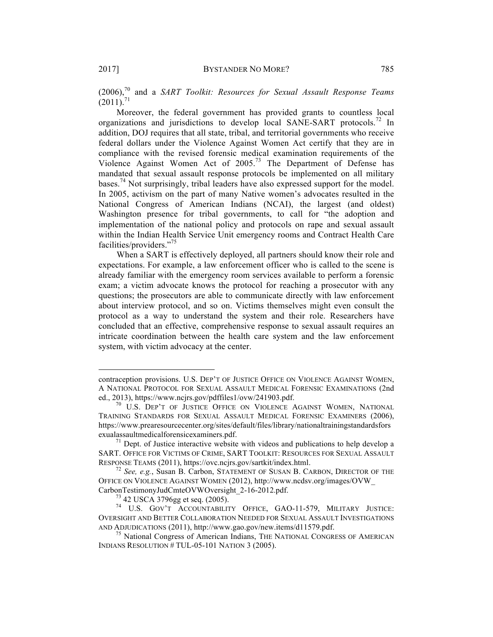(2006), <sup>70</sup> and a *SART Toolkit: Resources for Sexual Assault Response Teams*  $(2011).^{71}$ 

Moreover, the federal government has provided grants to countless local organizations and jurisdictions to develop local SANE-SART protocols.<sup>72</sup> In addition, DOJ requires that all state, tribal, and territorial governments who receive federal dollars under the Violence Against Women Act certify that they are in compliance with the revised forensic medical examination requirements of the Violence Against Women Act of 2005. <sup>73</sup> The Department of Defense has mandated that sexual assault response protocols be implemented on all military bases.<sup>74</sup> Not surprisingly, tribal leaders have also expressed support for the model. In 2005, activism on the part of many Native women's advocates resulted in the National Congress of American Indians (NCAI), the largest (and oldest) Washington presence for tribal governments, to call for "the adoption and implementation of the national policy and protocols on rape and sexual assault within the Indian Health Service Unit emergency rooms and Contract Health Care facilities/providers."<sup>75</sup>

When a SART is effectively deployed, all partners should know their role and expectations. For example, a law enforcement officer who is called to the scene is already familiar with the emergency room services available to perform a forensic exam; a victim advocate knows the protocol for reaching a prosecutor with any questions; the prosecutors are able to communicate directly with law enforcement about interview protocol, and so on. Victims themselves might even consult the protocol as a way to understand the system and their role. Researchers have concluded that an effective, comprehensive response to sexual assault requires an intricate coordination between the health care system and the law enforcement system, with victim advocacy at the center.

contraception provisions. U.S. DEP'T OF JUSTICE OFFICE ON VIOLENCE AGAINST WOMEN, A NATIONAL PROTOCOL FOR SEXUAL ASSAULT MEDICAL FORENSIC EXAMINATIONS (2nd ed., 2013), https://www.ncjrs.gov/pdffiles1/ovw/241903.pdf.

<sup>&</sup>lt;sup>70</sup> U.S. DEP'T OF JUSTICE OFFICE ON VIOLENCE AGAINST WOMEN, NATIONAL TRAINING STANDARDS FOR SEXUAL ASSAULT MEDICAL FORENSIC EXAMINERS (2006), https://www.prearesourcecenter.org/sites/default/files/library/nationaltrainingstandardsfors exualassaultmedicalforensicexaminers.pdf.<br><sup>71</sup> Dept. of Justice interactive website with videos and publications to help develop a

SART. OFFICE FOR VICTIMS OF CRIME, SART TOOLKIT: RESOURCES FOR SEXUAL ASSAULT RESPONSE TEAMS (2011), https://ovc.ncjrs.gov/sartkit/index.html. <sup>72</sup> *See, e.g.*, Susan B. Carbon, STATEMENT OF SUSAN B. CARBON, DIRECTOR OF THE

OFFICE ON VIOLENCE AGAINST WOMEN (2012), http://www.ncdsv.org/images/OVW\_

CarbonTestimonyJudCmteOVWOversight\_2-16-2012.pdf.<br><sup>73</sup> 42 USCA 3796gg et seq. (2005).<br><sup>74</sup> U.S. GOV'T ACCOUNTABILITY OFFICE, GAO-11-579, MILITARY JUSTICE: OVERSIGHT AND BETTER COLLABORATION NEEDED FOR SEXUAL ASSAULT INVESTIGATIONS AND ADJUDICATIONS (2011), http://www.gao.gov/new.items/d11579.pdf.  $^{75}$  National Congress of American Indians, THE NATIONAL CONGRESS OF AMERICAN

INDIANS RESOLUTION # TUL-05-101 NATION 3 (2005).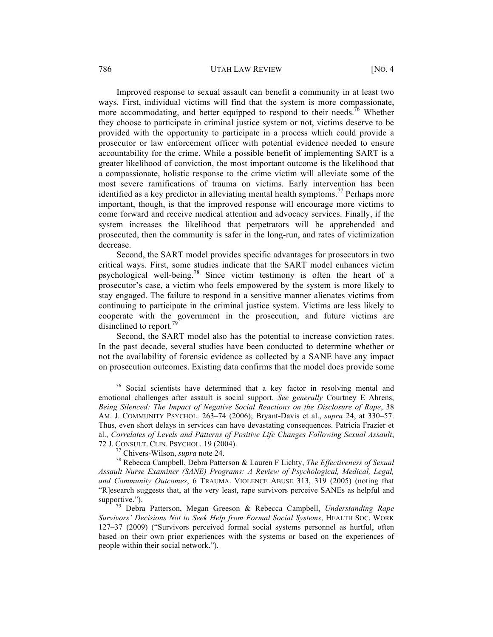#### 786 UTAH LAW REVIEW [NO. 4

Improved response to sexual assault can benefit a community in at least two ways. First, individual victims will find that the system is more compassionate, more accommodating, and better equipped to respond to their needs.<sup>76</sup> Whether they choose to participate in criminal justice system or not, victims deserve to be provided with the opportunity to participate in a process which could provide a prosecutor or law enforcement officer with potential evidence needed to ensure accountability for the crime. While a possible benefit of implementing SART is a greater likelihood of conviction, the most important outcome is the likelihood that a compassionate, holistic response to the crime victim will alleviate some of the most severe ramifications of trauma on victims. Early intervention has been identified as a key predictor in alleviating mental health symptoms.<sup>77</sup> Perhaps more important, though, is that the improved response will encourage more victims to come forward and receive medical attention and advocacy services. Finally, if the system increases the likelihood that perpetrators will be apprehended and prosecuted, then the community is safer in the long-run, and rates of victimization decrease.

Second, the SART model provides specific advantages for prosecutors in two critical ways. First, some studies indicate that the SART model enhances victim psychological well-being.<sup>78</sup> Since victim testimony is often the heart of a prosecutor's case, a victim who feels empowered by the system is more likely to stay engaged. The failure to respond in a sensitive manner alienates victims from continuing to participate in the criminal justice system. Victims are less likely to cooperate with the government in the prosecution, and future victims are disinclined to report.<sup>79</sup>

Second, the SART model also has the potential to increase conviction rates. In the past decade, several studies have been conducted to determine whether or not the availability of forensic evidence as collected by a SANE have any impact on prosecution outcomes. Existing data confirms that the model does provide some

 $76$  Social scientists have determined that a key factor in resolving mental and emotional challenges after assault is social support. *See generally* Courtney E Ahrens, *Being Silenced: The Impact of Negative Social Reactions on the Disclosure of Rape*, 38 AM. J. COMMUNITY PSYCHOL. 263–74 (2006); Bryant-Davis et al., *supra* 24, at 330–57. Thus, even short delays in services can have devastating consequences. Patricia Frazier et al., *Correlates of Levels and Patterns of Positive Life Changes Following Sexual Assault*, 72 J. CONSULT. CLIN. PSYCHOL. 19 (2004). <sup>77</sup> Chivers-Wilson, *supra* note 24. <sup>78</sup> Rebecca Campbell, Debra Patterson & Lauren F Lichty, *The Effectiveness of Sexual* 

*Assault Nurse Examiner (SANE) Programs: A Review of Psychological, Medical, Legal, and Community Outcomes*, 6 TRAUMA. VIOLENCE ABUSE 313, 319 (2005) (noting that "R]esearch suggests that, at the very least, rape survivors perceive SANEs as helpful and supportive."). <sup>79</sup> Debra Patterson, Megan Greeson & Rebecca Campbell, *Understanding Rape* 

*Survivors' Decisions Not to Seek Help from Formal Social Systems*, HEALTH SOC. WORK 127–37 (2009) ("Survivors perceived formal social systems personnel as hurtful, often based on their own prior experiences with the systems or based on the experiences of people within their social network.").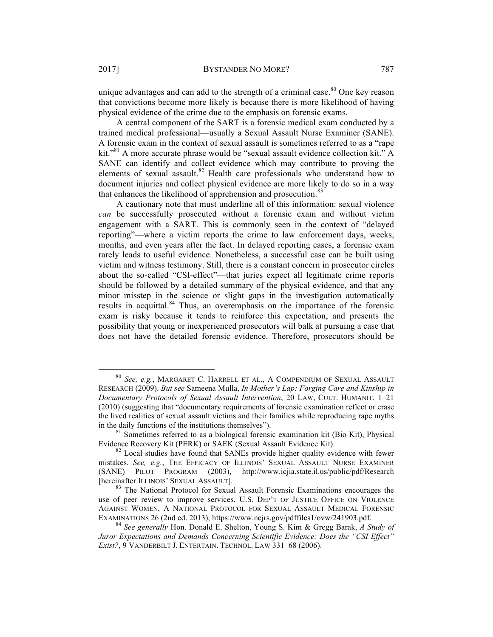unique advantages and can add to the strength of a criminal case.<sup>80</sup> One key reason that convictions become more likely is because there is more likelihood of having physical evidence of the crime due to the emphasis on forensic exams.

A central component of the SART is a forensic medical exam conducted by a trained medical professional—usually a Sexual Assault Nurse Examiner (SANE). A forensic exam in the context of sexual assault is sometimes referred to as a "rape kit."<sup>81</sup> A more accurate phrase would be "sexual assault evidence collection kit." A SANE can identify and collect evidence which may contribute to proving the elements of sexual assault.<sup>82</sup> Health care professionals who understand how to document injuries and collect physical evidence are more likely to do so in a way that enhances the likelihood of apprehension and prosecution.<sup>83</sup>

A cautionary note that must underline all of this information: sexual violence *can* be successfully prosecuted without a forensic exam and without victim engagement with a SART. This is commonly seen in the context of "delayed reporting"—where a victim reports the crime to law enforcement days, weeks, months, and even years after the fact. In delayed reporting cases, a forensic exam rarely leads to useful evidence. Nonetheless, a successful case can be built using victim and witness testimony. Still, there is a constant concern in prosecutor circles about the so-called "CSI-effect"—that juries expect all legitimate crime reports should be followed by a detailed summary of the physical evidence, and that any minor misstep in the science or slight gaps in the investigation automatically results in acquittal.<sup>84</sup> Thus, an overemphasis on the importance of the forensic exam is risky because it tends to reinforce this expectation, and presents the possibility that young or inexperienced prosecutors will balk at pursuing a case that does not have the detailed forensic evidence. Therefore, prosecutors should be

 <sup>80</sup> *See, e.g.*, MARGARET C. HARRELL ET AL., A COMPENDIUM OF SEXUAL ASSAULT RESEARCH (2009). *But see* Sameena Mulla, *In Mother's Lap: Forging Care and Kinship in Documentary Protocols of Sexual Assault Intervention*, 20 LAW, CULT. HUMANIT. 1–21 (2010) (suggesting that "documentary requirements of forensic examination reflect or erase the lived realities of sexual assault victims and their families while reproducing rape myths

in the daily functions of the institutions themselves").<br><sup>81</sup> Sometimes referred to as a biological forensic examination kit (Bio Kit), Physical Evidence Recovery Kit (PERK) or SAEK (Sexual Assault Evidence Kit).

 $82$  Local studies have found that SANEs provide higher quality evidence with fewer mistakes. *See, e.g.*, THE EFFICACY OF ILLINOIS' SEXUAL ASSAULT NURSE EXAMINER (SANE) PILOT PROGRAM (2003), http://www.icjia.state.il.us/public/pdf/Research [hereinafter ILLINOIS' SEXUAL ASSAULT]. <sup>83</sup> The National Protocol for Sexual Assault Forensic Examinations encourages the

use of peer review to improve services. U.S. DEP'T OF JUSTICE OFFICE ON VIOLENCE AGAINST WOMEN, A NATIONAL PROTOCOL FOR SEXUAL ASSAULT MEDICAL FORENSIC EXAMINATIONS 26 (2nd ed. 2013), https://www.ncjrs.gov/pdffiles1/ovw/241903.pdf. 84 *See generally* Hon. Donald E. Shelton, Young S. Kim & Gregg Barak, *A Study of* 

*Juror Expectations and Demands Concerning Scientific Evidence: Does the "CSI Effect" Exist?*, 9 VANDERBILT J. ENTERTAIN. TECHNOL. LAW 331–68 (2006).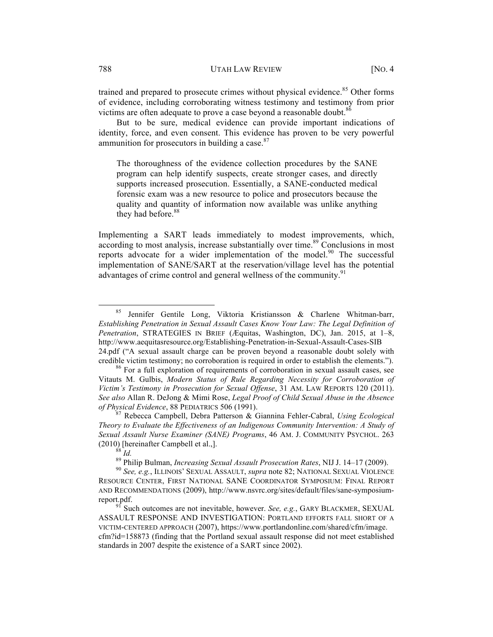trained and prepared to prosecute crimes without physical evidence.<sup>85</sup> Other forms of evidence, including corroborating witness testimony and testimony from prior victims are often adequate to prove a case beyond a reasonable doubt.<sup>86</sup>

But to be sure, medical evidence can provide important indications of identity, force, and even consent. This evidence has proven to be very powerful ammunition for prosecutors in building a case.<sup>87</sup>

The thoroughness of the evidence collection procedures by the SANE program can help identify suspects, create stronger cases, and directly supports increased prosecution. Essentially, a SANE-conducted medical forensic exam was a new resource to police and prosecutors because the quality and quantity of information now available was unlike anything they had before.<sup>88</sup>

Implementing a SART leads immediately to modest improvements, which, according to most analysis, increase substantially over time. $89$  Conclusions in most reports advocate for a wider implementation of the model.<sup>90</sup> The successful implementation of SANE/SART at the reservation/village level has the potential advantages of crime control and general wellness of the community.<sup>91</sup>

 <sup>85</sup> Jennifer Gentile Long, Viktoria Kristiansson & Charlene Whitman-barr, *Establishing Penetration in Sexual Assault Cases Know Your Law: The Legal Definition of Penetration*, STRATEGIES IN BRIEF (Æquitas, Washington, DC), Jan. 2015, at 1–8, http://www.aequitasresource.org/Establishing-Penetration-in-Sexual-Assault-Cases-SIB 24.pdf ("A sexual assault charge can be proven beyond a reasonable doubt solely with

credible victim testimony; no corroboration is required in order to establish the elements."). <sup>86</sup> For a full exploration of requirements of corroboration in sexual assault cases, see Vitauts M. Gulbis, *Modern Status of Rule Regarding Necessity for Corroboration of Victim's Testimony in Prosecution for Sexual Offense*, 31 AM. LAW REPORTS 120 (2011). *See also* Allan R. DeJong & Mimi Rose, *Legal Proof of Child Sexual Abuse in the Absence of Physical Evidence*, 88 PEDIATRICS 506 (1991). <sup>87</sup> Rebecca Campbell, Debra Patterson & Giannina Fehler-Cabral, *Using Ecological* 

*Theory to Evaluate the Effectiveness of an Indigenous Community Intervention: A Study of Sexual Assault Nurse Examiner (SANE) Programs*, 46 AM. J. COMMUNITY PSYCHOL. 263 (2010) [hereinafter Campbell et al.,].<br><sup>88</sup> *Id.*<br><sup>89</sup> Philip Bulman, *Increasing Sexual Assault Prosecution Rates*, NIJ J. 14–17 (2009).<br><sup>90</sup> *See, e.g.*, ILLINOIS' SEXUAL ASSAULT, *supra* note 82; NATIONAL SEXUAL VIOLEN

RESOURCE CENTER, FIRST NATIONAL SANE COORDINATOR SYMPOSIUM: FINAL REPORT AND RECOMMENDATIONS (2009), http://www.nsvrc.org/sites/default/files/sane-symposiumreport.pdf. 91 Such outcomes are not inevitable, however. *See, e.g.*, GARY BLACKMER, SEXUAL

ASSAULT RESPONSE AND INVESTIGATION: PORTLAND EFFORTS FALL SHORT OF A VICTIM-CENTERED APPROACH (2007), https://www.portlandonline.com/shared/cfm/image. cfm?id=158873 (finding that the Portland sexual assault response did not meet established standards in 2007 despite the existence of a SART since 2002).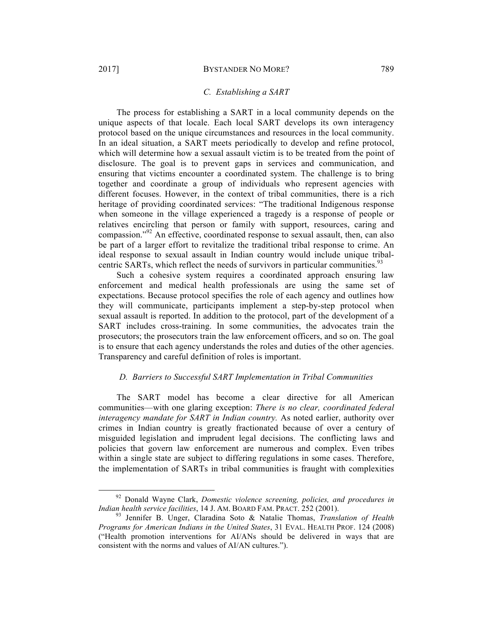#### *C. Establishing a SART*

The process for establishing a SART in a local community depends on the unique aspects of that locale. Each local SART develops its own interagency protocol based on the unique circumstances and resources in the local community. In an ideal situation, a SART meets periodically to develop and refine protocol, which will determine how a sexual assault victim is to be treated from the point of disclosure. The goal is to prevent gaps in services and communication, and ensuring that victims encounter a coordinated system. The challenge is to bring together and coordinate a group of individuals who represent agencies with different focuses. However, in the context of tribal communities, there is a rich heritage of providing coordinated services: "The traditional Indigenous response when someone in the village experienced a tragedy is a response of people or relatives encircling that person or family with support, resources, caring and compassion." <sup>92</sup> An effective, coordinated response to sexual assault, then, can also be part of a larger effort to revitalize the traditional tribal response to crime. An ideal response to sexual assault in Indian country would include unique tribalcentric SARTs, which reflect the needs of survivors in particular communities.<sup>93</sup>

Such a cohesive system requires a coordinated approach ensuring law enforcement and medical health professionals are using the same set of expectations. Because protocol specifies the role of each agency and outlines how they will communicate, participants implement a step-by-step protocol when sexual assault is reported. In addition to the protocol, part of the development of a SART includes cross-training. In some communities, the advocates train the prosecutors; the prosecutors train the law enforcement officers, and so on. The goal is to ensure that each agency understands the roles and duties of the other agencies. Transparency and careful definition of roles is important.

# *D. Barriers to Successful SART Implementation in Tribal Communities*

The SART model has become a clear directive for all American communities—with one glaring exception: *There is no clear, coordinated federal interagency mandate for SART in Indian country.* As noted earlier, authority over crimes in Indian country is greatly fractionated because of over a century of misguided legislation and imprudent legal decisions. The conflicting laws and policies that govern law enforcement are numerous and complex. Even tribes within a single state are subject to differing regulations in some cases. Therefore, the implementation of SARTs in tribal communities is fraught with complexities

 <sup>92</sup> Donald Wayne Clark, *Domestic violence screening, policies, and procedures in Indian health service facilities*, 14 J. AM. BOARD FAM. PRACT. 252 (2001). <sup>93</sup> Jennifer B. Unger, Claradina Soto & Natalie Thomas, *Translation of Health* 

*Programs for American Indians in the United States*, 31 EVAL. HEALTH PROF. 124 (2008) ("Health promotion interventions for AI/ANs should be delivered in ways that are consistent with the norms and values of AI/AN cultures.").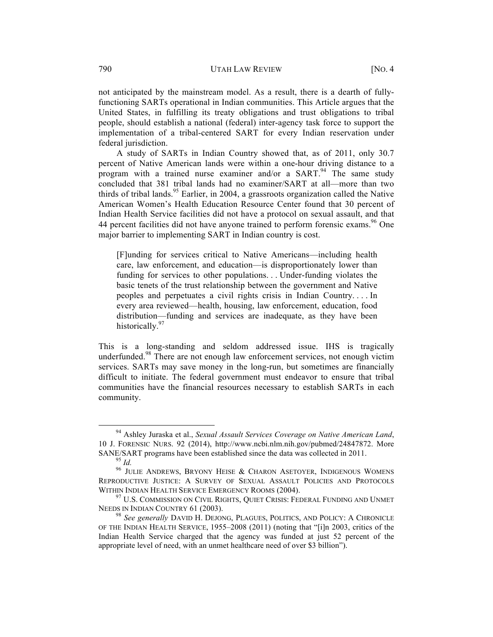not anticipated by the mainstream model. As a result, there is a dearth of fullyfunctioning SARTs operational in Indian communities. This Article argues that the United States, in fulfilling its treaty obligations and trust obligations to tribal people, should establish a national (federal) inter-agency task force to support the implementation of a tribal-centered SART for every Indian reservation under federal jurisdiction.

A study of SARTs in Indian Country showed that, as of 2011, only 30.7 percent of Native American lands were within a one-hour driving distance to a program with a trained nurse examiner and/or a  $SART$ .<sup>94</sup> The same study concluded that 381 tribal lands had no examiner/SART at all—more than two thirds of tribal lands.<sup>95</sup> Earlier, in 2004, a grassroots organization called the Native American Women's Health Education Resource Center found that 30 percent of Indian Health Service facilities did not have a protocol on sexual assault, and that 44 percent facilities did not have anyone trained to perform forensic exams.<sup>96</sup> One major barrier to implementing SART in Indian country is cost.

[F]unding for services critical to Native Americans—including health care, law enforcement, and education—is disproportionately lower than funding for services to other populations. . . Under-funding violates the basic tenets of the trust relationship between the government and Native peoples and perpetuates a civil rights crisis in Indian Country. . . . In every area reviewed—health, housing, law enforcement, education, food distribution—funding and services are inadequate, as they have been historically. $97$ 

This is a long-standing and seldom addressed issue. IHS is tragically underfunded.<sup>98</sup> There are not enough law enforcement services, not enough victim services. SARTs may save money in the long-run, but sometimes are financially difficult to initiate. The federal government must endeavor to ensure that tribal communities have the financial resources necessary to establish SARTs in each community.

 <sup>94</sup> Ashley Juraska et al., *Sexual Assault Services Coverage on Native American Land*, 10 J. FORENSIC NURS. 92 (2014), http://www.ncbi.nlm.nih.gov/pubmed/24847872. More SANE/SART programs have been established since the data was collected in 2011.<br><sup>95</sup> *Id.* 96 JULIE ANDREWS, BRYONY HEISE & CHARON ASETOYER, INDIGENOUS WOMENS

REPRODUCTIVE JUSTICE: A SURVEY OF SEXUAL ASSAULT POLICIES AND PROTOCOLS

WITHIN INDIAN HEALTH SERVICE EMERGENCY ROOMS (2004).<br><sup>97</sup> U.S. COMMISSION ON CIVIL RIGHTS, QUIET CRISIS: FEDERAL FUNDING AND UNMET NEEDS IN INDIAN COUNTRY 61 (2003).

<sup>&</sup>lt;sup>98</sup> See generally DAVID H. DEJONG, PLAGUES, POLITICS, AND POLICY: A CHRONICLE OF THE INDIAN HEALTH SERVICE, 1955–2008 (2011) (noting that "[i]n 2003, critics of the Indian Health Service charged that the agency was funded at just 52 percent of the appropriate level of need, with an unmet healthcare need of over \$3 billion").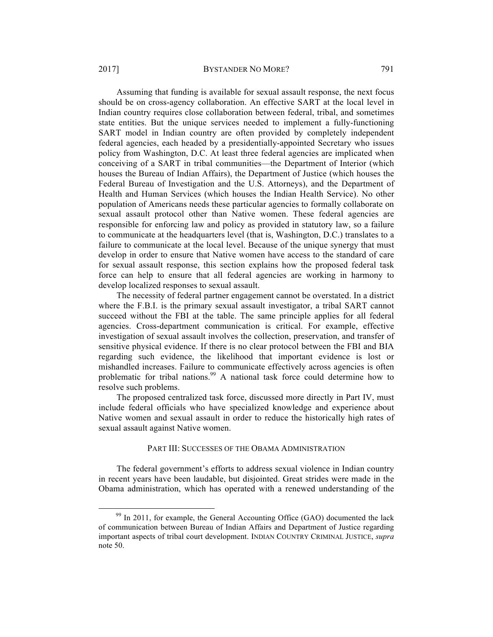#### 2017] BYSTANDER NO MORE? 791

Assuming that funding is available for sexual assault response, the next focus should be on cross-agency collaboration. An effective SART at the local level in Indian country requires close collaboration between federal, tribal, and sometimes state entities. But the unique services needed to implement a fully-functioning SART model in Indian country are often provided by completely independent federal agencies, each headed by a presidentially-appointed Secretary who issues policy from Washington, D.C. At least three federal agencies are implicated when conceiving of a SART in tribal communities—the Department of Interior (which houses the Bureau of Indian Affairs), the Department of Justice (which houses the Federal Bureau of Investigation and the U.S. Attorneys), and the Department of Health and Human Services (which houses the Indian Health Service). No other population of Americans needs these particular agencies to formally collaborate on sexual assault protocol other than Native women. These federal agencies are responsible for enforcing law and policy as provided in statutory law, so a failure to communicate at the headquarters level (that is, Washington, D.C.) translates to a failure to communicate at the local level. Because of the unique synergy that must develop in order to ensure that Native women have access to the standard of care for sexual assault response, this section explains how the proposed federal task force can help to ensure that all federal agencies are working in harmony to develop localized responses to sexual assault.

The necessity of federal partner engagement cannot be overstated. In a district where the F.B.I. is the primary sexual assault investigator, a tribal SART cannot succeed without the FBI at the table. The same principle applies for all federal agencies. Cross-department communication is critical. For example, effective investigation of sexual assault involves the collection, preservation, and transfer of sensitive physical evidence. If there is no clear protocol between the FBI and BIA regarding such evidence, the likelihood that important evidence is lost or mishandled increases. Failure to communicate effectively across agencies is often problematic for tribal nations.<sup>99</sup> A national task force could determine how to resolve such problems.

The proposed centralized task force, discussed more directly in Part IV, must include federal officials who have specialized knowledge and experience about Native women and sexual assault in order to reduce the historically high rates of sexual assault against Native women.

#### PART III: SUCCESSES OF THE OBAMA ADMINISTRATION

The federal government's efforts to address sexual violence in Indian country in recent years have been laudable, but disjointed. Great strides were made in the Obama administration, which has operated with a renewed understanding of the

 $99$  In 2011, for example, the General Accounting Office (GAO) documented the lack of communication between Bureau of Indian Affairs and Department of Justice regarding important aspects of tribal court development. INDIAN COUNTRY CRIMINAL JUSTICE, *supra*  note 50.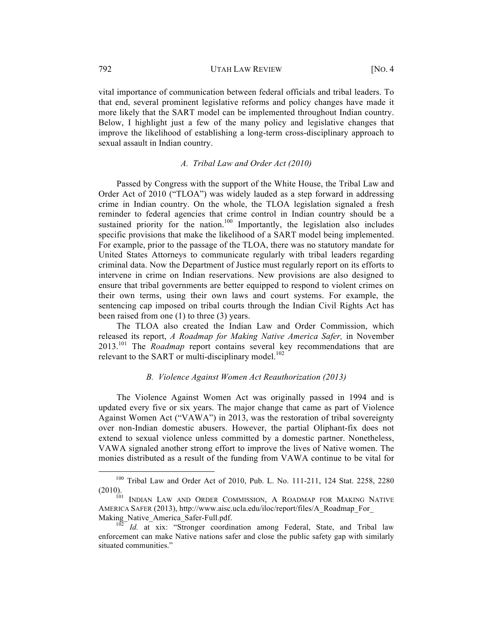vital importance of communication between federal officials and tribal leaders. To that end, several prominent legislative reforms and policy changes have made it more likely that the SART model can be implemented throughout Indian country. Below, I highlight just a few of the many policy and legislative changes that improve the likelihood of establishing a long-term cross-disciplinary approach to sexual assault in Indian country.

# *A. Tribal Law and Order Act (2010)*

Passed by Congress with the support of the White House, the Tribal Law and Order Act of 2010 ("TLOA") was widely lauded as a step forward in addressing crime in Indian country. On the whole, the TLOA legislation signaled a fresh reminder to federal agencies that crime control in Indian country should be a sustained priority for the nation.<sup>100</sup> Importantly, the legislation also includes specific provisions that make the likelihood of a SART model being implemented. For example, prior to the passage of the TLOA, there was no statutory mandate for United States Attorneys to communicate regularly with tribal leaders regarding criminal data. Now the Department of Justice must regularly report on its efforts to intervene in crime on Indian reservations. New provisions are also designed to ensure that tribal governments are better equipped to respond to violent crimes on their own terms, using their own laws and court systems. For example, the sentencing cap imposed on tribal courts through the Indian Civil Rights Act has been raised from one (1) to three (3) years.

The TLOA also created the Indian Law and Order Commission, which released its report, *A Roadmap for Making Native America Safer,* in November 2013.<sup>101</sup> The *Roadmap* report contains several key recommendations that are relevant to the SART or multi-disciplinary model.<sup>102</sup>

## *B. Violence Against Women Act Reauthorization (2013)*

The Violence Against Women Act was originally passed in 1994 and is updated every five or six years. The major change that came as part of Violence Against Women Act ("VAWA") in 2013, was the restoration of tribal sovereignty over non-Indian domestic abusers. However, the partial Oliphant-fix does not extend to sexual violence unless committed by a domestic partner. Nonetheless, VAWA signaled another strong effort to improve the lives of Native women. The monies distributed as a result of the funding from VAWA continue to be vital for

 <sup>100</sup> Tribal Law and Order Act of 2010, Pub. L. No. 111-211, 124 Stat. 2258, 2280 (2010).<br><sup>101</sup> Indian Law and Order Commission, A Roadmap for Making Native

AMERICA SAFER (2013), http://www.aisc.ucla.edu/iloc/report/files/A\_Roadmap\_For\_

Making\_Native\_America\_Safer-Full.pdf.<br><sup>102</sup> *Id.* at xix: "Stronger coordination among Federal, State, and Tribal law enforcement can make Native nations safer and close the public safety gap with similarly situated communities."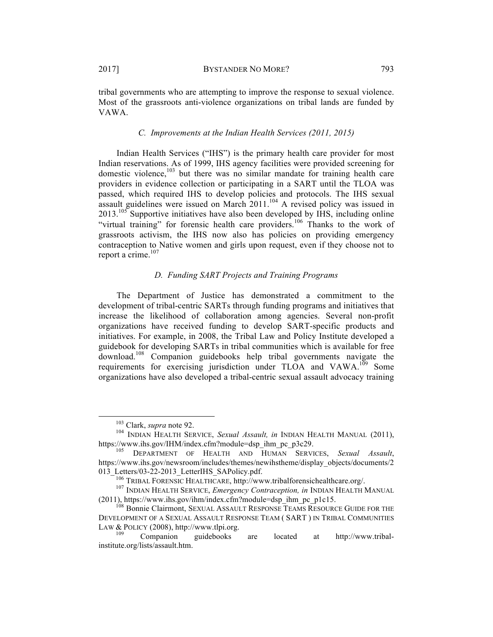tribal governments who are attempting to improve the response to sexual violence. Most of the grassroots anti-violence organizations on tribal lands are funded by VAWA.

#### *C. Improvements at the Indian Health Services (2011, 2015)*

Indian Health Services ("IHS") is the primary health care provider for most Indian reservations. As of 1999, IHS agency facilities were provided screening for domestic violence, <sup>103</sup> but there was no similar mandate for training health care providers in evidence collection or participating in a SART until the TLOA was passed, which required IHS to develop policies and protocols. The IHS sexual assault guidelines were issued on March  $2011$ .<sup>104</sup> A revised policy was issued in  $2013$ <sup>105</sup> Supportive initiatives have also been developed by IHS, including online "virtual training" for forensic health care providers.<sup>106</sup> Thanks to the work of grassroots activism, the IHS now also has policies on providing emergency contraception to Native women and girls upon request, even if they choose not to report a crime.<sup>107</sup>

# *D. Funding SART Projects and Training Programs*

The Department of Justice has demonstrated a commitment to the development of tribal-centric SARTs through funding programs and initiatives that increase the likelihood of collaboration among agencies. Several non-profit organizations have received funding to develop SART-specific products and initiatives. For example, in 2008, the Tribal Law and Policy Institute developed a guidebook for developing SARTs in tribal communities which is available for free download.108 Companion guidebooks help tribal governments navigate the requirements for exercising jurisdiction under TLOA and VAWA.<sup>109</sup> Some organizations have also developed a tribal-centric sexual assault advocacy training

<sup>&</sup>lt;sup>103</sup> Clark, *supra* note 92.<br><sup>104</sup> INDIAN HEALTH SERVICE, *Sexual Assault*, *in* INDIAN HEALTH MANUAL (2011),<br>https://www.ihs.gov/IHM/index.cfm?module=dsp ihm pc p3c29.

DEPARTMENT OF HEALTH AND HUMAN SERVICES, Sexual Assault, https://www.ihs.gov/newsroom/includes/themes/newihstheme/display\_objects/documents/2 013\_Letters/03-22-2013\_LetterIHS\_SAPolicy.pdf. <sup>106</sup> TRIBAL FORENSIC HEALTHCARE, http://www.tribalforensichealthcare.org/. <sup>107</sup> INDIAN HEALTH SERVICE, *Emergency Contraception, in* INDIAN HEALTH MANUAL

<sup>(2011),</sup> https://www.ihs.gov/ihm/index.cfm?module=dsp\_ihm\_pc\_p1c15.

<sup>108</sup> Bonnie Clairmont, SEXUAL ASSAULT RESPONSE TEAMS RESOURCE GUIDE FOR THE DEVELOPMENT OF A SEXUAL ASSAULT RESPONSE TEAM ( SART ) IN TRIBAL COMMUNITIES LAW & POLICY (2008), http://www.tlpi.org.<br><sup>109</sup> Companion guidebooks are located at http://www.tribal-

institute.org/lists/assault.htm.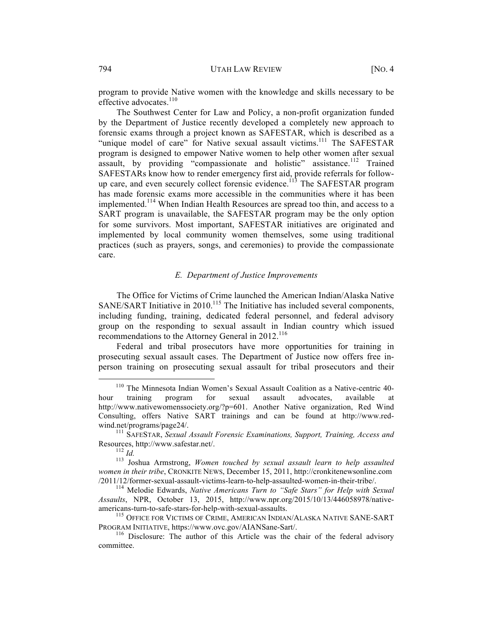program to provide Native women with the knowledge and skills necessary to be effective advocates.<sup>110</sup>

The Southwest Center for Law and Policy, a non-profit organization funded by the Department of Justice recently developed a completely new approach to forensic exams through a project known as SAFESTAR, which is described as a "unique model of care" for Native sexual assault victims.<sup>111</sup> The SAFESTAR program is designed to empower Native women to help other women after sexual assault, by providing "compassionate and holistic" assistance.<sup>112</sup> Trained SAFESTARs know how to render emergency first aid, provide referrals for followup care, and even securely collect forensic evidence.<sup>113</sup> The SAFESTAR program has made forensic exams more accessible in the communities where it has been implemented.<sup>114</sup> When Indian Health Resources are spread too thin, and access to a SART program is unavailable, the SAFESTAR program may be the only option for some survivors. Most important, SAFESTAR initiatives are originated and implemented by local community women themselves, some using traditional practices (such as prayers, songs, and ceremonies) to provide the compassionate care.

#### *E. Department of Justice Improvements*

The Office for Victims of Crime launched the American Indian/Alaska Native SANE/SART Initiative in  $2010$ .<sup>115</sup> The Initiative has included several components, including funding, training, dedicated federal personnel, and federal advisory group on the responding to sexual assault in Indian country which issued recommendations to the Attorney General in 2012.<sup>116</sup>

Federal and tribal prosecutors have more opportunities for training in prosecuting sexual assault cases. The Department of Justice now offers free inperson training on prosecuting sexual assault for tribal prosecutors and their

 <sup>110</sup> The Minnesota Indian Women's Sexual Assault Coalition as a Native-centric 40 hour training program for sexual assault advocates, available at http://www.nativewomenssociety.org/?p=601. Another Native organization, Red Wind Consulting, offers Native SART trainings and can be found at http://www.redwind.net/programs/page24/.<br><sup>111</sup> SAFESTAR, *Sexual Assault Forensic Examinations, Support, Training, Access and* 

Resources, http://www.safestar.net/.<br><sup>112</sup> *Id.* 113 Joshua Armstrong, *Women touched by sexual assault learn to help assaulted women in their tribe*, CRONKITE NEWS, December 15, 2011, http://cronkitenewsonline.com /2011/12/former-sexual-assault-victims-learn-to-help-assaulted-women-in-their-tribe/. <sup>114</sup> Melodie Edwards, *Native Americans Turn to "Safe Stars" for Help with Sexual* 

*Assaults*, NPR, October 13, 2015, http://www.npr.org/2015/10/13/446058978/native-

americans-turn-to-safe-stars-for-help-with-sexual-assaults.<br>
<sup>115</sup> OFFICE FOR VICTIMS OF CRIME, AMERICAN INDIAN/ALASKA NATIVE SANE-SART<br>
PROGRAM INITIATIVE, https://www.ovc.gov/AIANSane-Sart/.

 $116$  Disclosure: The author of this Article was the chair of the federal advisory committee.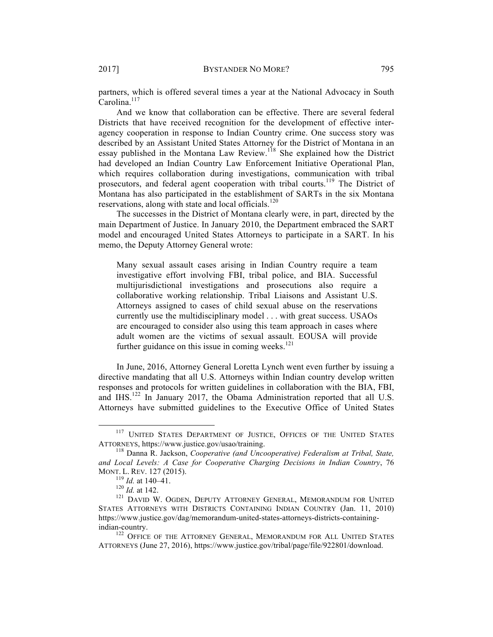partners, which is offered several times a year at the National Advocacy in South  $Carolina<sup>117</sup>$ 

And we know that collaboration can be effective. There are several federal Districts that have received recognition for the development of effective interagency cooperation in response to Indian Country crime. One success story was described by an Assistant United States Attorney for the District of Montana in an essay published in the Montana Law Review.<sup>118</sup> She explained how the District had developed an Indian Country Law Enforcement Initiative Operational Plan, which requires collaboration during investigations, communication with tribal prosecutors, and federal agent cooperation with tribal courts.<sup>119</sup> The District of Montana has also participated in the establishment of SARTs in the six Montana reservations, along with state and local officials.<sup>120</sup>

The successes in the District of Montana clearly were, in part, directed by the main Department of Justice. In January 2010, the Department embraced the SART model and encouraged United States Attorneys to participate in a SART. In his memo, the Deputy Attorney General wrote:

Many sexual assault cases arising in Indian Country require a team investigative effort involving FBI, tribal police, and BIA. Successful multijurisdictional investigations and prosecutions also require a collaborative working relationship. Tribal Liaisons and Assistant U.S. Attorneys assigned to cases of child sexual abuse on the reservations currently use the multidisciplinary model . . . with great success. USAOs are encouraged to consider also using this team approach in cases where adult women are the victims of sexual assault. EOUSA will provide further guidance on this issue in coming weeks.<sup>121</sup>

In June, 2016, Attorney General Loretta Lynch went even further by issuing a directive mandating that all U.S. Attorneys within Indian country develop written responses and protocols for written guidelines in collaboration with the BIA, FBI, and IHS.<sup>122</sup> In January 2017, the Obama Administration reported that all U.S. Attorneys have submitted guidelines to the Executive Office of United States

 $117$  UNITED STATES DEPARTMENT OF JUSTICE, OFFICES OF THE UNITED STATES ATTORNEYS, https://www.justice.gov/usao/training.

<sup>&</sup>lt;sup>118</sup> Danna R. Jackson, *Cooperative (and Uncooperative) Federalism at Tribal, State, and Local Levels: A Case for Cooperative Charging Decisions in Indian Country*, 76 MONT. L. REV. 127 (2015).<br><sup>119</sup> *Id.* at 140–41.<br><sup>120</sup> *Id.* at 142.<br><sup>121</sup> David W. Ogden, Deputy Attorney General, Memorandum for United

STATES ATTORNEYS WITH DISTRICTS CONTAINING INDIAN COUNTRY (Jan. 11, 2010) https://www.justice.gov/dag/memorandum-united-states-attorneys-districts-containingindian-country.

<sup>&</sup>lt;sup>122</sup> OFFICE OF THE ATTORNEY GENERAL, MEMORANDUM FOR ALL UNITED STATES ATTORNEYS (June 27, 2016), https://www.justice.gov/tribal/page/file/922801/download.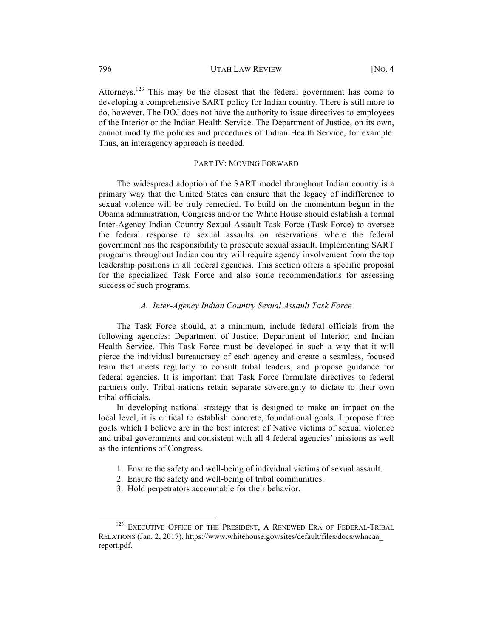Attorneys.<sup>123</sup> This may be the closest that the federal government has come to developing a comprehensive SART policy for Indian country. There is still more to do, however. The DOJ does not have the authority to issue directives to employees of the Interior or the Indian Health Service. The Department of Justice, on its own, cannot modify the policies and procedures of Indian Health Service, for example. Thus, an interagency approach is needed.

### PART IV: MOVING FORWARD

The widespread adoption of the SART model throughout Indian country is a primary way that the United States can ensure that the legacy of indifference to sexual violence will be truly remedied. To build on the momentum begun in the Obama administration, Congress and/or the White House should establish a formal Inter-Agency Indian Country Sexual Assault Task Force (Task Force) to oversee the federal response to sexual assaults on reservations where the federal government has the responsibility to prosecute sexual assault. Implementing SART programs throughout Indian country will require agency involvement from the top leadership positions in all federal agencies. This section offers a specific proposal for the specialized Task Force and also some recommendations for assessing success of such programs.

# *A. Inter-Agency Indian Country Sexual Assault Task Force*

The Task Force should, at a minimum, include federal officials from the following agencies: Department of Justice, Department of Interior, and Indian Health Service. This Task Force must be developed in such a way that it will pierce the individual bureaucracy of each agency and create a seamless, focused team that meets regularly to consult tribal leaders, and propose guidance for federal agencies. It is important that Task Force formulate directives to federal partners only. Tribal nations retain separate sovereignty to dictate to their own tribal officials.

In developing national strategy that is designed to make an impact on the local level, it is critical to establish concrete, foundational goals. I propose three goals which I believe are in the best interest of Native victims of sexual violence and tribal governments and consistent with all 4 federal agencies' missions as well as the intentions of Congress.

- 1. Ensure the safety and well-being of individual victims of sexual assault.
- 2. Ensure the safety and well-being of tribal communities.
- 3. Hold perpetrators accountable for their behavior.

<sup>&</sup>lt;sup>123</sup> EXECUTIVE OFFICE OF THE PRESIDENT, A RENEWED ERA OF FEDERAL-TRIBAL RELATIONS (Jan. 2, 2017), https://www.whitehouse.gov/sites/default/files/docs/whncaa\_ report.pdf.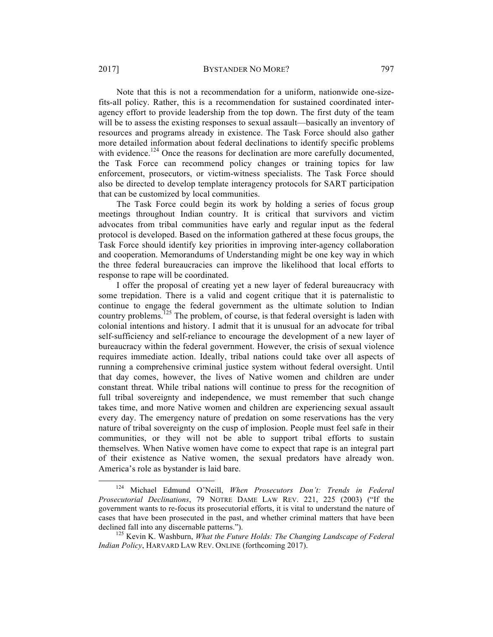Note that this is not a recommendation for a uniform, nationwide one-sizefits-all policy. Rather, this is a recommendation for sustained coordinated interagency effort to provide leadership from the top down. The first duty of the team will be to assess the existing responses to sexual assault—basically an inventory of resources and programs already in existence. The Task Force should also gather more detailed information about federal declinations to identify specific problems with evidence.<sup>124</sup> Once the reasons for declination are more carefully documented, the Task Force can recommend policy changes or training topics for law enforcement, prosecutors, or victim-witness specialists. The Task Force should also be directed to develop template interagency protocols for SART participation that can be customized by local communities.

The Task Force could begin its work by holding a series of focus group meetings throughout Indian country. It is critical that survivors and victim advocates from tribal communities have early and regular input as the federal protocol is developed. Based on the information gathered at these focus groups, the Task Force should identify key priorities in improving inter-agency collaboration and cooperation. Memorandums of Understanding might be one key way in which the three federal bureaucracies can improve the likelihood that local efforts to response to rape will be coordinated.

I offer the proposal of creating yet a new layer of federal bureaucracy with some trepidation. There is a valid and cogent critique that it is paternalistic to continue to engage the federal government as the ultimate solution to Indian country problems.<sup>125</sup> The problem, of course, is that federal oversight is laden with colonial intentions and history. I admit that it is unusual for an advocate for tribal self-sufficiency and self-reliance to encourage the development of a new layer of bureaucracy within the federal government. However, the crisis of sexual violence requires immediate action. Ideally, tribal nations could take over all aspects of running a comprehensive criminal justice system without federal oversight. Until that day comes, however, the lives of Native women and children are under constant threat. While tribal nations will continue to press for the recognition of full tribal sovereignty and independence, we must remember that such change takes time, and more Native women and children are experiencing sexual assault every day. The emergency nature of predation on some reservations has the very nature of tribal sovereignty on the cusp of implosion. People must feel safe in their communities, or they will not be able to support tribal efforts to sustain themselves. When Native women have come to expect that rape is an integral part of their existence as Native women, the sexual predators have already won. America's role as bystander is laid bare.

 <sup>124</sup> Michael Edmund O'Neill, *When Prosecutors Don't: Trends in Federal Prosecutorial Declinations*, 79 NOTRE DAME LAW REV. 221, 225 (2003) ("If the government wants to re-focus its prosecutorial efforts, it is vital to understand the nature of cases that have been prosecuted in the past, and whether criminal matters that have been declined fall into any discernable patterns.").<br><sup>125</sup> Kevin K. Washburn, *What the Future Holds: The Changing Landscape of Federal* 

*Indian Policy*, HARVARD LAW REV. ONLINE (forthcoming 2017).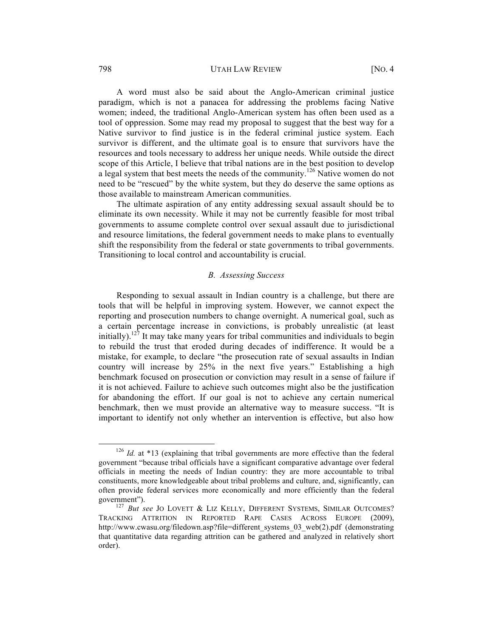#### 798 UTAH LAW REVIEW [NO. 4

A word must also be said about the Anglo-American criminal justice paradigm, which is not a panacea for addressing the problems facing Native women; indeed, the traditional Anglo-American system has often been used as a tool of oppression. Some may read my proposal to suggest that the best way for a Native survivor to find justice is in the federal criminal justice system. Each survivor is different, and the ultimate goal is to ensure that survivors have the resources and tools necessary to address her unique needs. While outside the direct scope of this Article, I believe that tribal nations are in the best position to develop a legal system that best meets the needs of the community.<sup>126</sup> Native women do not need to be "rescued" by the white system, but they do deserve the same options as those available to mainstream American communities.

The ultimate aspiration of any entity addressing sexual assault should be to eliminate its own necessity. While it may not be currently feasible for most tribal governments to assume complete control over sexual assault due to jurisdictional and resource limitations, the federal government needs to make plans to eventually shift the responsibility from the federal or state governments to tribal governments. Transitioning to local control and accountability is crucial.

## *B. Assessing Success*

Responding to sexual assault in Indian country is a challenge, but there are tools that will be helpful in improving system. However, we cannot expect the reporting and prosecution numbers to change overnight. A numerical goal, such as a certain percentage increase in convictions, is probably unrealistic (at least initially).<sup>127</sup> It may take many years for tribal communities and individuals to begin to rebuild the trust that eroded during decades of indifference. It would be a mistake, for example, to declare "the prosecution rate of sexual assaults in Indian country will increase by 25% in the next five years." Establishing a high benchmark focused on prosecution or conviction may result in a sense of failure if it is not achieved. Failure to achieve such outcomes might also be the justification for abandoning the effort. If our goal is not to achieve any certain numerical benchmark, then we must provide an alternative way to measure success. "It is important to identify not only whether an intervention is effective, but also how

<sup>&</sup>lt;sup>126</sup> *Id.* at \*13 (explaining that tribal governments are more effective than the federal government "because tribal officials have a significant comparative advantage over federal officials in meeting the needs of Indian country: they are more accountable to tribal constituents, more knowledgeable about tribal problems and culture, and, significantly, can often provide federal services more economically and more efficiently than the federal government").<br><sup>127</sup> *But see* JO LOVETT & LIZ KELLY, DIFFERENT SYSTEMS, SIMILAR OUTCOMES?

TRACKING ATTRITION IN REPORTED RAPE CASES ACROSS EUROPE (2009), http://www.cwasu.org/filedown.asp?file=different\_systems\_03\_web(2).pdf (demonstrating that quantitative data regarding attrition can be gathered and analyzed in relatively short order).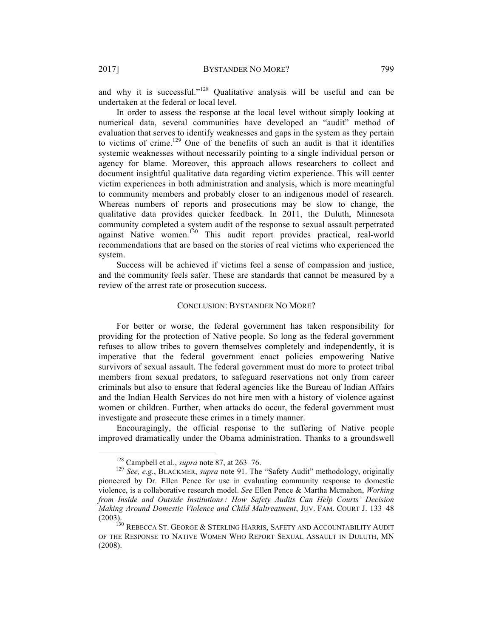and why it is successful."<sup>128</sup> Qualitative analysis will be useful and can be undertaken at the federal or local level.

In order to assess the response at the local level without simply looking at numerical data, several communities have developed an "audit" method of evaluation that serves to identify weaknesses and gaps in the system as they pertain to victims of crime.<sup>129</sup> One of the benefits of such an audit is that it identifies systemic weaknesses without necessarily pointing to a single individual person or agency for blame. Moreover, this approach allows researchers to collect and document insightful qualitative data regarding victim experience. This will center victim experiences in both administration and analysis, which is more meaningful to community members and probably closer to an indigenous model of research. Whereas numbers of reports and prosecutions may be slow to change, the qualitative data provides quicker feedback. In 2011, the Duluth, Minnesota community completed a system audit of the response to sexual assault perpetrated against Native women.<sup>130</sup> This audit report provides practical, real-world recommendations that are based on the stories of real victims who experienced the system.

Success will be achieved if victims feel a sense of compassion and justice, and the community feels safer. These are standards that cannot be measured by a review of the arrest rate or prosecution success.

#### CONCLUSION: BYSTANDER NO MORE?

For better or worse, the federal government has taken responsibility for providing for the protection of Native people. So long as the federal government refuses to allow tribes to govern themselves completely and independently, it is imperative that the federal government enact policies empowering Native survivors of sexual assault. The federal government must do more to protect tribal members from sexual predators, to safeguard reservations not only from career criminals but also to ensure that federal agencies like the Bureau of Indian Affairs and the Indian Health Services do not hire men with a history of violence against women or children. Further, when attacks do occur, the federal government must investigate and prosecute these crimes in a timely manner.

Encouragingly, the official response to the suffering of Native people improved dramatically under the Obama administration. Thanks to a groundswell

<sup>&</sup>lt;sup>128</sup> Campbell et al., *supra* note 87, at 263–76.<br><sup>129</sup> *See, e.g.*, BLACKMER, *supra* note 91. The "Safety Audit" methodology, originally pioneered by Dr. Ellen Pence for use in evaluating community response to domestic violence, is a collaborative research model. *See* Ellen Pence & Martha Mcmahon, *Working from Inside and Outside Institutions : How Safety Audits Can Help Courts' Decision Making Around Domestic Violence and Child Maltreatment*, JUV. FAM. COURT J. 133–48 (2003). 130 REBECCA ST. GEORGE & STERLING HARRIS, SAFETY AND ACCOUNTABILITY AUDIT

OF THE RESPONSE TO NATIVE WOMEN WHO REPORT SEXUAL ASSAULT IN DULUTH, MN (2008).